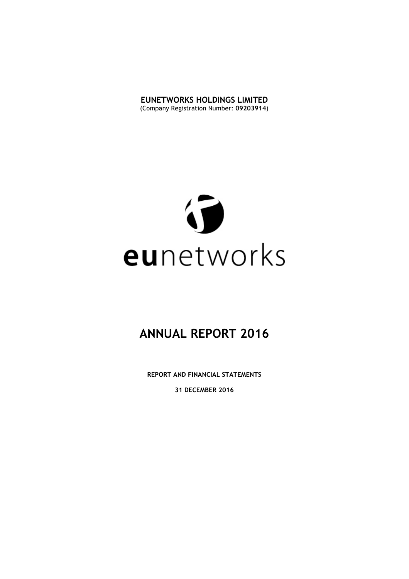# **EUNETWORKS HOLDINGS LIMITED** (Company Registration Number: **09203914**)

(5)<br>eunetworks

# **ANNUAL REPORT 2016**

**REPORT AND FINANCIAL STATEMENTS**

**31 DECEMBER 2016**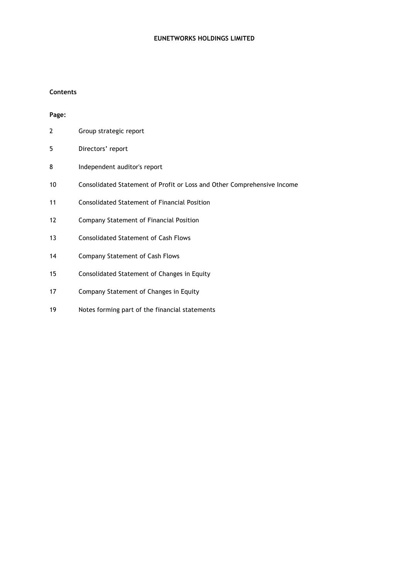# **Contents**

# **Page:**

- Group strategic report
- Directors' report
- Independent auditor's report
- Consolidated Statement of Profit or Loss and Other Comprehensive Income
- Consolidated Statement of Financial Position
- Company Statement of Financial Position
- Consolidated Statement of Cash Flows
- Company Statement of Cash Flows
- Consolidated Statement of Changes in Equity
- 17 Company Statement of Changes in Equity
- Notes forming part of the financial statements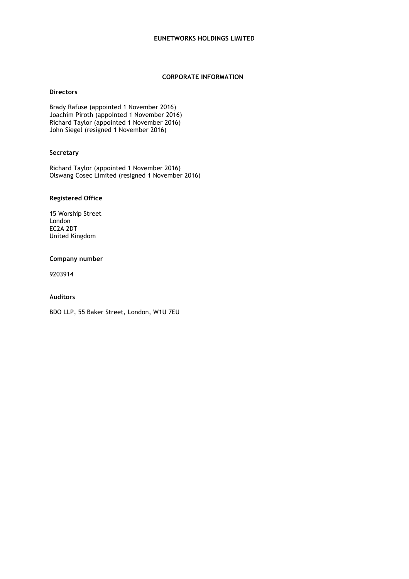# **CORPORATE INFORMATION**

### **Directors**

Brady Rafuse (appointed 1 November 2016) Joachim Piroth (appointed 1 November 2016) Richard Taylor (appointed 1 November 2016) John Siegel (resigned 1 November 2016)

# **Secretary**

Richard Taylor (appointed 1 November 2016) Olswang Cosec Limited (resigned 1 November 2016)

# **Registered Office**

15 Worship Street London EC2A 2DT United Kingdom

# **Company number**

9203914

# **Auditors**

BDO LLP, 55 Baker Street, London, W1U 7EU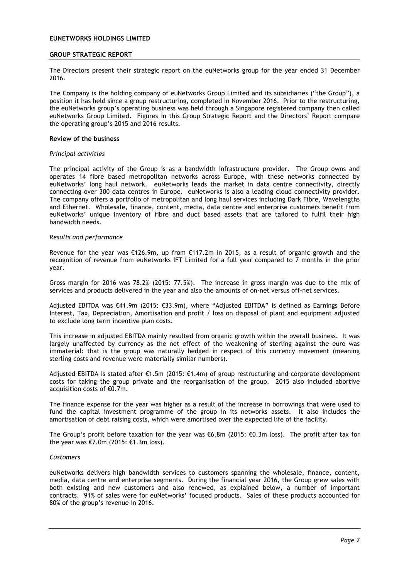### **GROUP STRATEGIC REPORT**

The Directors present their strategic report on the euNetworks group for the year ended 31 December 2016.

The Company is the holding company of euNetworks Group Limited and its subsidiaries ("the Group"), a position it has held since a group restructuring, completed in November 2016. Prior to the restructuring, the euNetworks group's operating business was held through a Singapore registered company then called euNetworks Group Limited. Figures in this Group Strategic Report and the Directors' Report compare the operating group's 2015 and 2016 results.

#### **Review of the business**

#### *Principal activities*

The principal activity of the Group is as a bandwidth infrastructure provider. The Group owns and operates 14 fibre based metropolitan networks across Europe, with these networks connected by euNetworks' long haul network. euNetworks leads the market in data centre connectivity, directly connecting over 300 data centres in Europe. euNetworks is also a leading cloud connectivity provider. The company offers a portfolio of metropolitan and long haul services including Dark Fibre, Wavelengths and Ethernet. Wholesale, finance, content, media, data centre and enterprise customers benefit from euNetworks' unique inventory of fibre and duct based assets that are tailored to fulfil their high bandwidth needs.

### *Results and performance*

Revenue for the year was €126.9m, up from €117.2m in 2015, as a result of organic growth and the recognition of revenue from euNetworks IFT Limited for a full year compared to 7 months in the prior year.

Gross margin for 2016 was 78.2% (2015: 77.5%). The increase in gross margin was due to the mix of services and products delivered in the year and also the amounts of on-net versus off-net services.

Adjusted EBITDA was €41.9m (2015: €33.9m), where "Adjusted EBITDA" is defined as Earnings Before Interest, Tax, Depreciation, Amortisation and profit / loss on disposal of plant and equipment adjusted to exclude long term incentive plan costs.

This increase in adjusted EBITDA mainly resulted from organic growth within the overall business. It was largely unaffected by currency as the net effect of the weakening of sterling against the euro was immaterial: that is the group was naturally hedged in respect of this currency movement (meaning sterling costs and revenue were materially similar numbers).

Adjusted EBITDA is stated after €1.5m (2015: €1.4m) of group restructuring and corporate development costs for taking the group private and the reorganisation of the group. 2015 also included abortive acquisition costs of €0.7m.

The finance expense for the year was higher as a result of the increase in borrowings that were used to fund the capital investment programme of the group in its networks assets. It also includes the amortisation of debt raising costs, which were amortised over the expected life of the facility.

The Group's profit before taxation for the year was €6.8m (2015: €0.3m loss). The profit after tax for the year was €7.0m (2015: €1.3m loss).

#### *Customers*

euNetworks delivers high bandwidth services to customers spanning the wholesale, finance, content, media, data centre and enterprise segments. During the financial year 2016, the Group grew sales with both existing and new customers and also renewed, as explained below, a number of important contracts. 91% of sales were for euNetworks' focused products. Sales of these products accounted for 80% of the group's revenue in 2016.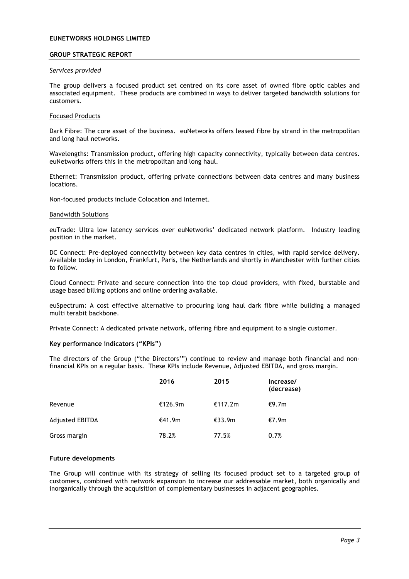### **GROUP STRATEGIC REPORT**

#### *Services provided*

The group delivers a focused product set centred on its core asset of owned fibre optic cables and associated equipment. These products are combined in ways to deliver targeted bandwidth solutions for customers.

# Focused Products

Dark Fibre: The core asset of the business. euNetworks offers leased fibre by strand in the metropolitan and long haul networks.

Wavelengths: Transmission product, offering high capacity connectivity, typically between data centres. euNetworks offers this in the metropolitan and long haul.

Ethernet: Transmission product, offering private connections between data centres and many business locations.

Non-focused products include Colocation and Internet.

#### Bandwidth Solutions

euTrade: Ultra low latency services over euNetworks' dedicated network platform. Industry leading position in the market.

DC Connect: Pre-deployed connectivity between key data centres in cities, with rapid service delivery. Available today in London, Frankfurt, Paris, the Netherlands and shortly in Manchester with further cities to follow.

Cloud Connect: Private and secure connection into the top cloud providers, with fixed, burstable and usage based billing options and online ordering available.

euSpectrum: A cost effective alternative to procuring long haul dark fibre while building a managed multi terabit backbone.

Private Connect: A dedicated private network, offering fibre and equipment to a single customer.

#### **Key performance indicators ("KPIs")**

The directors of the Group ("the Directors'") continue to review and manage both financial and nonfinancial KPIs on a regular basis. These KPIs include Revenue, Adjusted EBITDA, and gross margin.

|                 | 2016    | 2015    | Increase/<br>(decrease) |
|-----------------|---------|---------|-------------------------|
| Revenue         | €126.9m | €117.2m | €9.7m                   |
| Adjusted EBITDA | €41.9m  | €33.9m  | €7.9m                   |
| Gross margin    | 78.2%   | 77.5%   | 0.7%                    |

#### **Future developments**

The Group will continue with its strategy of selling its focused product set to a targeted group of customers, combined with network expansion to increase our addressable market, both organically and inorganically through the acquisition of complementary businesses in adjacent geographies.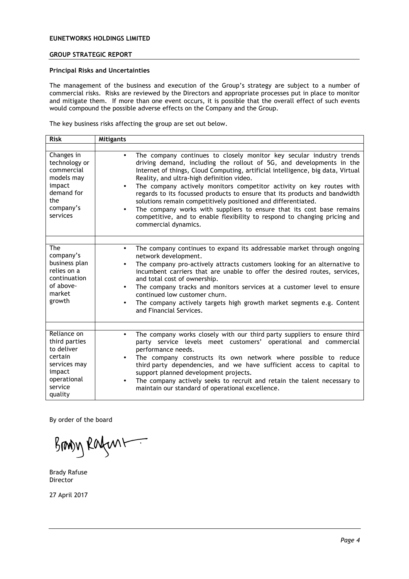# **GROUP STRATEGIC REPORT**

# **Principal Risks and Uncertainties**

The management of the business and execution of the Group's strategy are subject to a number of commercial risks. Risks are reviewed by the Directors and appropriate processes put in place to monitor and mitigate them. If more than one event occurs, it is possible that the overall effect of such events would compound the possible adverse effects on the Company and the Group.

The key business risks affecting the group are set out below.

| <b>Risk</b>                                                                                                          | <b>Mitigants</b> |                                                                                                                                                                                                                                                                                                                                                                                                                                                                                                                                                                                                                                                                                   |
|----------------------------------------------------------------------------------------------------------------------|------------------|-----------------------------------------------------------------------------------------------------------------------------------------------------------------------------------------------------------------------------------------------------------------------------------------------------------------------------------------------------------------------------------------------------------------------------------------------------------------------------------------------------------------------------------------------------------------------------------------------------------------------------------------------------------------------------------|
| Changes in<br>technology or<br>commercial<br>models may<br>impact<br>demand for<br>the<br>company's<br>services      | $\bullet$        | The company continues to closely monitor key secular industry trends<br>driving demand, including the rollout of 5G, and developments in the<br>Internet of things, Cloud Computing, artificial intelligence, big data, Virtual<br>Reality, and ultra-high definition video.<br>The company actively monitors competitor activity on key routes with<br>regards to its focussed products to ensure that its products and bandwidth<br>solutions remain competitively positioned and differentiated.<br>The company works with suppliers to ensure that its cost base remains<br>competitive, and to enable flexibility to respond to changing pricing and<br>commercial dynamics. |
| The<br>company's<br>business plan<br>relies on a<br>continuation<br>of above-<br>market<br>growth                    | $\bullet$        | The company continues to expand its addressable market through ongoing<br>network development.<br>The company pro-actively attracts customers looking for an alternative to<br>incumbent carriers that are unable to offer the desired routes, services,<br>and total cost of ownership.<br>The company tracks and monitors services at a customer level to ensure<br>continued low customer churn.<br>The company actively targets high growth market segments e.g. Content<br>and Financial Services.                                                                                                                                                                           |
| Reliance on<br>third parties<br>to deliver<br>certain<br>services may<br>impact<br>operational<br>service<br>quality |                  | The company works closely with our third party suppliers to ensure third<br>party service levels meet customers' operational and commercial<br>performance needs.<br>The company constructs its own network where possible to reduce<br>third party dependencies, and we have sufficient access to capital to<br>support planned development projects.<br>The company actively seeks to recruit and retain the talent necessary to<br>maintain our standard of operational excellence.                                                                                                                                                                                            |

By order of the board

Browny Ragunt

Brady Rafuse Director

27 April 2017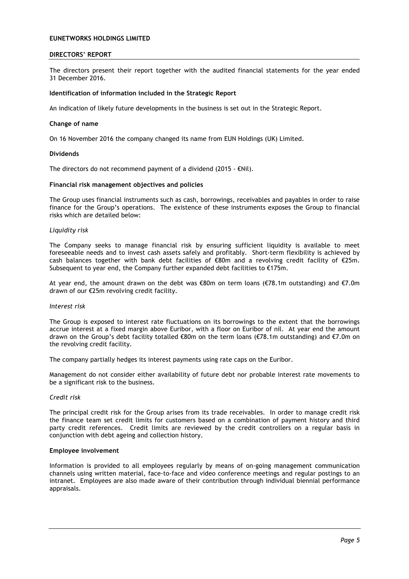#### **DIRECTORS' REPORT**

The directors present their report together with the audited financial statements for the year ended 31 December 2016.

#### **Identification of information included in the Strategic Report**

An indication of likely future developments in the business is set out in the Strategic Report.

#### **Change of name**

On 16 November 2016 the company changed its name from EUN Holdings (UK) Limited.

#### **Dividends**

The directors do not recommend payment of a dividend (2015 -  $\epsilon$ Nil).

#### **Financial risk management objectives and policies**

The Group uses financial instruments such as cash, borrowings, receivables and payables in order to raise finance for the Group's operations. The existence of these instruments exposes the Group to financial risks which are detailed below:

#### *Liquidity risk*

The Company seeks to manage financial risk by ensuring sufficient liquidity is available to meet foreseeable needs and to invest cash assets safely and profitably. Short-term flexibility is achieved by cash balances together with bank debt facilities of €80m and a revolving credit facility of €25m. Subsequent to year end, the Company further expanded debt facilities to  $\epsilon$ 175m.

At year end, the amount drawn on the debt was €80m on term loans (€78.1m outstanding) and €7.0m drawn of our €25m revolving credit facility.

#### *Interest risk*

The Group is exposed to interest rate fluctuations on its borrowings to the extent that the borrowings accrue interest at a fixed margin above Euribor, with a floor on Euribor of nil. At year end the amount drawn on the Group's debt facility totalled €80m on the term loans (€78.1m outstanding) and €7.0m on the revolving credit facility.

The company partially hedges its interest payments using rate caps on the Euribor.

Management do not consider either availability of future debt nor probable interest rate movements to be a significant risk to the business.

# *Credit risk*

The principal credit risk for the Group arises from its trade receivables. In order to manage credit risk the finance team set credit limits for customers based on a combination of payment history and third party credit references. Credit limits are reviewed by the credit controllers on a regular basis in conjunction with debt ageing and collection history.

# **Employee involvement**

Information is provided to all employees regularly by means of on-going management communication channels using written material, face-to-face and video conference meetings and regular postings to an intranet. Employees are also made aware of their contribution through individual biennial performance appraisals.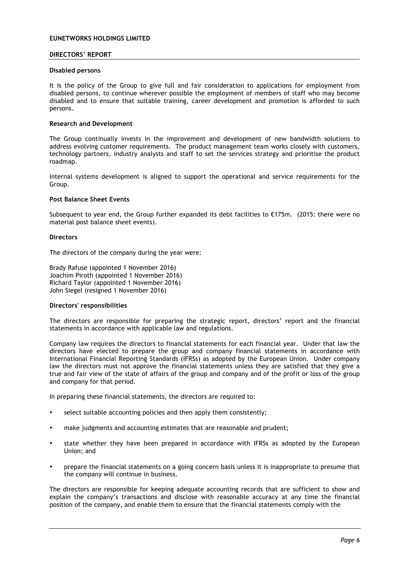#### **DIRECTORS' REPORT**

#### **Disabled persons**

It is the policy of the Group to give full and fair consideration to applications for employment from disabled persons, to continue wherever possible the employment of members of staff who may become disabled and to ensure that suitable training, career development and promotion is afforded to such persons.

#### **Research and Development**

The Group continually invests in the improvement and development of new bandwidth solutions to address evolving customer requirements. The product management team works closely with customers, technology partners, industry analysts and staff to set the services strategy and prioritise the product roadmap.

Internal systems development is aligned to support the operational and service requirements for the Group.

#### **Post Balance Sheet Events**

Subsequent to year end, the Group further expanded its debt facilities to €175m. (2015: there were no material post balance sheet events).

#### **Directors**

The directors of the company during the year were:

Brady Rafuse (appointed 1 November 2016) Joachim Piroth (appointed 1 November 2016) Richard Taylor (appointed 1 November 2016) John Siegel (resigned 1 November 2016)

#### **Directors' responsibilities**

The directors are responsible for preparing the strategic report, directors' report and the financial statements in accordance with applicable law and regulations.

Company law requires the directors to financial statements for each financial year. Under that law the directors have elected to prepare the group and company financial statements in accordance with International Financial Reporting Standards (IFRSs) as adopted by the European Union. Under company law the directors must not approve the financial statements unless they are satisfied that they give a true and fair view of the state of affairs of the group and company and of the profit or loss of the group and company for that period.

In preparing these financial statements, the directors are required to:

- select suitable accounting policies and then apply them consistently;
- make judgments and accounting estimates that are reasonable and prudent;
- state whether they have been prepared in accordance with IFRSs as adopted by the European Union; and
- prepare the financial statements on a going concern basis unless it is inappropriate to presume that the company will continue in business.

The directors are responsible for keeping adequate accounting records that are sufficient to show and explain the company's transactions and disclose with reasonable accuracy at any time the financial position of the company, and enable them to ensure that the financial statements comply with the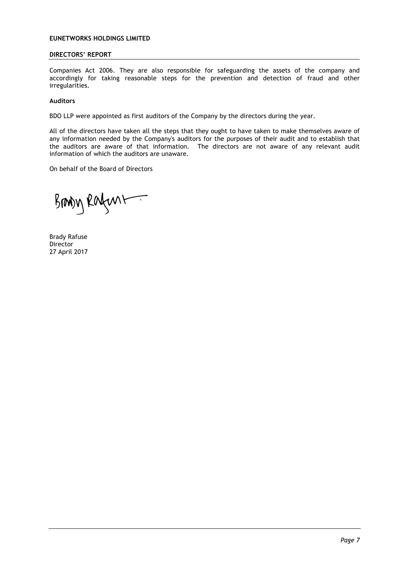# **DIRECTORS' REPORT**

Companies Act 2006. They are also responsible for safeguarding the assets of the company and accordingly for taking reasonable steps for the prevention and detection of fraud and other irregularities.

### **Auditors**

BDO LLP were appointed as first auditors of the Company by the directors during the year.

All of the directors have taken all the steps that they ought to have taken to make themselves aware of any information needed by the Company's auditors for the purposes of their audit and to establish that the auditors are aware of that information. The directors are not aware of any relevant audit information of which the auditors are unaware.

On behalf of the Board of Directors

Browny Ragunt

Brady Rafuse Director 27 April 2017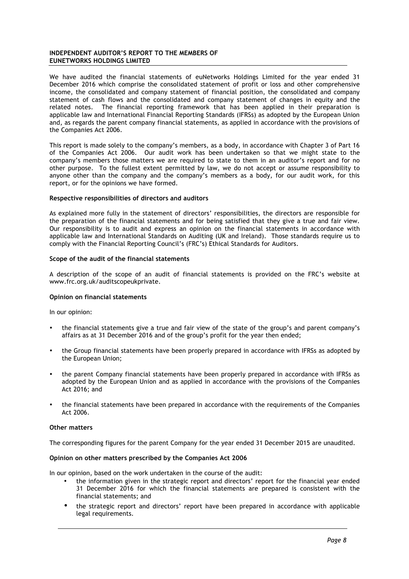# **INDEPENDENT AUDITOR'S REPORT TO THE MEMBERS OF EUNETWORKS HOLDINGS LIMITED**

We have audited the financial statements of euNetworks Holdings Limited for the year ended 31 December 2016 which comprise the consolidated statement of profit or loss and other comprehensive income, the consolidated and company statement of financial position, the consolidated and company statement of cash flows and the consolidated and company statement of changes in equity and the related notes. The financial reporting framework that has been applied in their preparation is applicable law and International Financial Reporting Standards (IFRSs) as adopted by the European Union and, as regards the parent company financial statements, as applied in accordance with the provisions of the Companies Act 2006.

This report is made solely to the company's members, as a body, in accordance with Chapter 3 of Part 16 of the Companies Act 2006. Our audit work has been undertaken so that we might state to the company's members those matters we are required to state to them in an auditor's report and for no other purpose. To the fullest extent permitted by law, we do not accept or assume responsibility to anyone other than the company and the company's members as a body, for our audit work, for this report, or for the opinions we have formed.

# **Respective responsibilities of directors and auditors**

As explained more fully in the statement of directors' responsibilities, the directors are responsible for the preparation of the financial statements and for being satisfied that they give a true and fair view. Our responsibility is to audit and express an opinion on the financial statements in accordance with applicable law and International Standards on Auditing (UK and Ireland). Those standards require us to comply with the Financial Reporting Council's (FRC's) Ethical Standards for Auditors.

# **Scope of the audit of the financial statements**

A description of the scope of an audit of financial statements is provided on the FRC's website at www.frc.org.uk/auditscopeukprivate.

# **Opinion on financial statements**

In our opinion:

- the financial statements give a true and fair view of the state of the group's and parent company's affairs as at 31 December 2016 and of the group's profit for the year then ended;
- the Group financial statements have been properly prepared in accordance with IFRSs as adopted by the European Union;
- the parent Company financial statements have been properly prepared in accordance with IFRSs as adopted by the European Union and as applied in accordance with the provisions of the Companies Act 2016; and
- the financial statements have been prepared in accordance with the requirements of the Companies Act 2006.

# **Other matters**

The corresponding figures for the parent Company for the year ended 31 December 2015 are unaudited.

# **Opinion on other matters prescribed by the Companies Act 2006**

In our opinion, based on the work undertaken in the course of the audit:

- the information given in the strategic report and directors' report for the financial year ended 31 December 2016 for which the financial statements are prepared is consistent with the financial statements; and
- the strategic report and directors' report have been prepared in accordance with applicable legal requirements.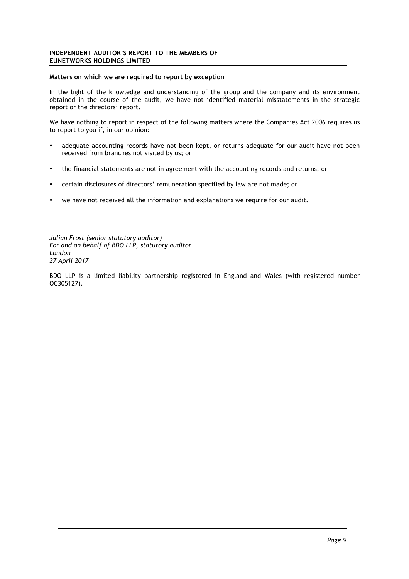# **INDEPENDENT AUDITOR'S REPORT TO THE MEMBERS OF EUNETWORKS HOLDINGS LIMITED**

#### **Matters on which we are required to report by exception**

In the light of the knowledge and understanding of the group and the company and its environment obtained in the course of the audit, we have not identified material misstatements in the strategic report or the directors' report.

We have nothing to report in respect of the following matters where the Companies Act 2006 requires us to report to you if, in our opinion:

- adequate accounting records have not been kept, or returns adequate for our audit have not been received from branches not visited by us; or
- the financial statements are not in agreement with the accounting records and returns; or
- certain disclosures of directors' remuneration specified by law are not made; or
- we have not received all the information and explanations we require for our audit.

*Julian Frost (senior statutory auditor) For and on behalf of BDO LLP, statutory auditor London 27 April 2017*

BDO LLP is a limited liability partnership registered in England and Wales (with registered number OC305127).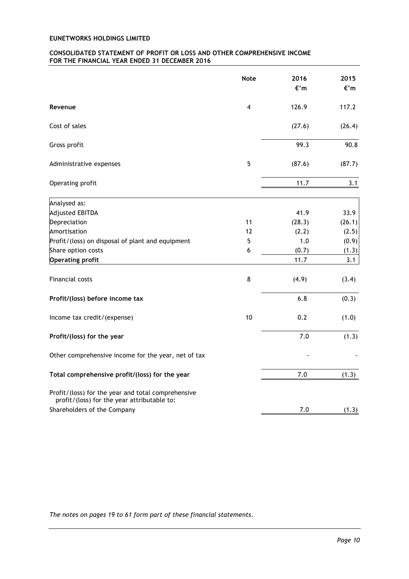# **CONSOLIDATED STATEMENT OF PROFIT OR LOSS AND OTHER COMPREHENSIVE INCOME FOR THE FINANCIAL YEAR ENDED 31 DECEMBER 2016**

|                                                                                                   | <b>Note</b>             | 2016<br>€'m | 2015<br>€'m |
|---------------------------------------------------------------------------------------------------|-------------------------|-------------|-------------|
| Revenue                                                                                           | $\overline{\mathbf{4}}$ | 126.9       | 117.2       |
| Cost of sales                                                                                     |                         | (27.6)      | (26.4)      |
| Gross profit                                                                                      |                         | 99.3        | 90.8        |
| Administrative expenses                                                                           | 5                       | (87.6)      | (87.7)      |
| Operating profit                                                                                  |                         | 11.7        | 3.1         |
| Analysed as:                                                                                      |                         |             |             |
| Adjusted EBITDA                                                                                   |                         | 41.9        | 33.9        |
| Depreciation                                                                                      | 11                      | (28.3)      | (26.1)      |
| Amortisation                                                                                      | 12                      | (2.2)       | (2.5)       |
| Profit/(loss) on disposal of plant and equipment                                                  | 5                       | 1.0         | (0.9)       |
| Share option costs                                                                                | 6                       | (0.7)       | (1.3)       |
| <b>Operating profit</b>                                                                           |                         | 11.7        | 3.1         |
| <b>Financial costs</b>                                                                            | 8                       | (4.9)       | (3.4)       |
| Profit/(loss) before income tax                                                                   |                         | 6.8         | (0.3)       |
| Income tax credit/(expense)                                                                       | 10                      | 0.2         | (1.0)       |
| Profit/(loss) for the year                                                                        |                         | 7.0         | (1.3)       |
| Other comprehensive income for the year, net of tax                                               |                         |             |             |
| Total comprehensive profit/(loss) for the year                                                    |                         | 7.0         | (1.3)       |
| Profit/(loss) for the year and total comprehensive<br>profit/(loss) for the year attributable to: |                         |             |             |
| Shareholders of the Company                                                                       |                         | 7.0         | (1.3)       |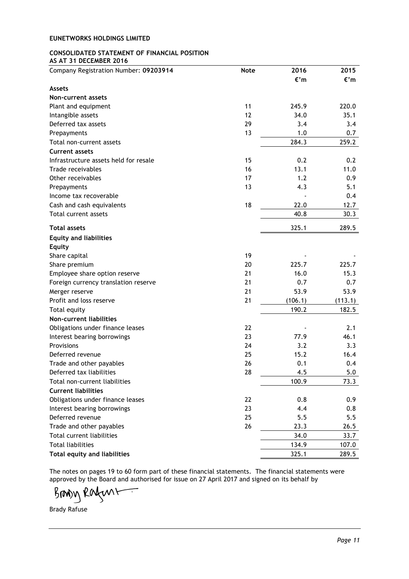# **CONSOLIDATED STATEMENT OF FINANCIAL POSITION AS AT 31 DECEMBER 2016**

| €'m<br>€'m<br><b>Assets</b><br><b>Non-current assets</b><br>11<br>245.9<br>220.0<br>Plant and equipment<br>12<br>34.0<br>35.1<br>Intangible assets<br>29<br>Deferred tax assets<br>3.4<br>3.4<br>13<br>0.7<br>1.0<br>Prepayments<br>284.3<br>259.2<br>Total non-current assets<br><b>Current assets</b><br>15<br>0.2<br>Infrastructure assets held for resale<br>0.2<br>Trade receivables<br>16<br>13.1<br>11.0<br>17<br>1.2<br>0.9<br>Other receivables<br>13<br>4.3<br>5.1<br>Prepayments<br>0.4<br>Income tax recoverable<br>18<br>22.0<br>12.7<br>Cash and cash equivalents<br>40.8<br>30.3<br>Total current assets<br>325.1<br>289.5<br><b>Total assets</b><br><b>Equity and liabilities</b><br><b>Equity</b> |
|--------------------------------------------------------------------------------------------------------------------------------------------------------------------------------------------------------------------------------------------------------------------------------------------------------------------------------------------------------------------------------------------------------------------------------------------------------------------------------------------------------------------------------------------------------------------------------------------------------------------------------------------------------------------------------------------------------------------|
|                                                                                                                                                                                                                                                                                                                                                                                                                                                                                                                                                                                                                                                                                                                    |
|                                                                                                                                                                                                                                                                                                                                                                                                                                                                                                                                                                                                                                                                                                                    |
|                                                                                                                                                                                                                                                                                                                                                                                                                                                                                                                                                                                                                                                                                                                    |
|                                                                                                                                                                                                                                                                                                                                                                                                                                                                                                                                                                                                                                                                                                                    |
|                                                                                                                                                                                                                                                                                                                                                                                                                                                                                                                                                                                                                                                                                                                    |
|                                                                                                                                                                                                                                                                                                                                                                                                                                                                                                                                                                                                                                                                                                                    |
|                                                                                                                                                                                                                                                                                                                                                                                                                                                                                                                                                                                                                                                                                                                    |
|                                                                                                                                                                                                                                                                                                                                                                                                                                                                                                                                                                                                                                                                                                                    |
|                                                                                                                                                                                                                                                                                                                                                                                                                                                                                                                                                                                                                                                                                                                    |
|                                                                                                                                                                                                                                                                                                                                                                                                                                                                                                                                                                                                                                                                                                                    |
|                                                                                                                                                                                                                                                                                                                                                                                                                                                                                                                                                                                                                                                                                                                    |
|                                                                                                                                                                                                                                                                                                                                                                                                                                                                                                                                                                                                                                                                                                                    |
|                                                                                                                                                                                                                                                                                                                                                                                                                                                                                                                                                                                                                                                                                                                    |
|                                                                                                                                                                                                                                                                                                                                                                                                                                                                                                                                                                                                                                                                                                                    |
|                                                                                                                                                                                                                                                                                                                                                                                                                                                                                                                                                                                                                                                                                                                    |
|                                                                                                                                                                                                                                                                                                                                                                                                                                                                                                                                                                                                                                                                                                                    |
|                                                                                                                                                                                                                                                                                                                                                                                                                                                                                                                                                                                                                                                                                                                    |
|                                                                                                                                                                                                                                                                                                                                                                                                                                                                                                                                                                                                                                                                                                                    |
|                                                                                                                                                                                                                                                                                                                                                                                                                                                                                                                                                                                                                                                                                                                    |
| 19<br>Share capital                                                                                                                                                                                                                                                                                                                                                                                                                                                                                                                                                                                                                                                                                                |
| 225.7<br>Share premium<br>20<br>225.7                                                                                                                                                                                                                                                                                                                                                                                                                                                                                                                                                                                                                                                                              |
| 16.0<br>21<br>15.3<br>Employee share option reserve                                                                                                                                                                                                                                                                                                                                                                                                                                                                                                                                                                                                                                                                |
| 21<br>0.7<br>0.7<br>Foreign currency translation reserve                                                                                                                                                                                                                                                                                                                                                                                                                                                                                                                                                                                                                                                           |
| 21<br>53.9<br>53.9<br>Merger reserve                                                                                                                                                                                                                                                                                                                                                                                                                                                                                                                                                                                                                                                                               |
| 21<br>Profit and loss reserve<br>(106.1)<br>(113.1)                                                                                                                                                                                                                                                                                                                                                                                                                                                                                                                                                                                                                                                                |
| 190.2<br>182.5<br>Total equity                                                                                                                                                                                                                                                                                                                                                                                                                                                                                                                                                                                                                                                                                     |
| Non-current liabilities                                                                                                                                                                                                                                                                                                                                                                                                                                                                                                                                                                                                                                                                                            |
| 22<br>2.1<br>Obligations under finance leases                                                                                                                                                                                                                                                                                                                                                                                                                                                                                                                                                                                                                                                                      |
| 23<br>46.1<br>Interest bearing borrowings<br>77.9                                                                                                                                                                                                                                                                                                                                                                                                                                                                                                                                                                                                                                                                  |
| 24<br>Provisions<br>3.2<br>3.3                                                                                                                                                                                                                                                                                                                                                                                                                                                                                                                                                                                                                                                                                     |
| Deferred revenue<br>25<br>15.2<br>16.4                                                                                                                                                                                                                                                                                                                                                                                                                                                                                                                                                                                                                                                                             |
| 26<br>0.1<br>0.4<br>Trade and other payables                                                                                                                                                                                                                                                                                                                                                                                                                                                                                                                                                                                                                                                                       |
| 28<br>4.5<br>5.0<br>Deferred tax liabilities                                                                                                                                                                                                                                                                                                                                                                                                                                                                                                                                                                                                                                                                       |
| Total non-current liabilities<br>100.9<br>73.3                                                                                                                                                                                                                                                                                                                                                                                                                                                                                                                                                                                                                                                                     |
| <b>Current liabilities</b>                                                                                                                                                                                                                                                                                                                                                                                                                                                                                                                                                                                                                                                                                         |
| Obligations under finance leases<br>22<br>0.8<br>0.9                                                                                                                                                                                                                                                                                                                                                                                                                                                                                                                                                                                                                                                               |
| 23<br>Interest bearing borrowings<br>4.4<br>0.8                                                                                                                                                                                                                                                                                                                                                                                                                                                                                                                                                                                                                                                                    |
| Deferred revenue<br>25<br>5.5<br>5.5                                                                                                                                                                                                                                                                                                                                                                                                                                                                                                                                                                                                                                                                               |
| Trade and other payables<br>26<br>23.3<br>26.5                                                                                                                                                                                                                                                                                                                                                                                                                                                                                                                                                                                                                                                                     |
| Total current liabilities<br>34.0<br>33.7                                                                                                                                                                                                                                                                                                                                                                                                                                                                                                                                                                                                                                                                          |
| <b>Total liabilities</b><br>134.9<br>107.0                                                                                                                                                                                                                                                                                                                                                                                                                                                                                                                                                                                                                                                                         |
| <b>Total equity and liabilities</b><br>325.1<br>289.5                                                                                                                                                                                                                                                                                                                                                                                                                                                                                                                                                                                                                                                              |

The notes on pages 19 to 60 form part of these financial statements. The financial statements were approved by the Board and authorised for issue on 27 April 2017 and signed on its behalf by

Brown Ragunt  $\overline{a}$ 

Brady Rafuse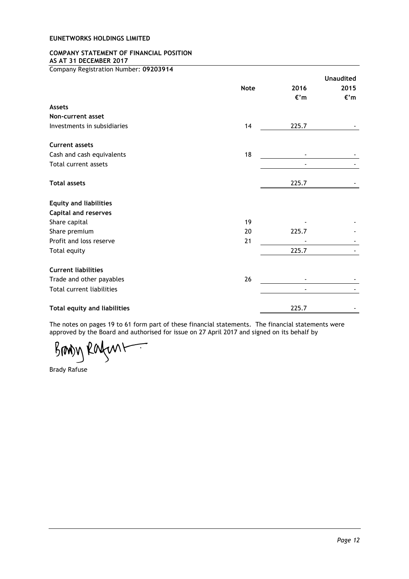# **COMPANY STATEMENT OF FINANCIAL POSITION AS AT 31 DECEMBER 2017**

Company Registration Number: **09203914**

|                                     |             |       | <b>Unaudited</b> |
|-------------------------------------|-------------|-------|------------------|
|                                     | <b>Note</b> | 2016  | 2015             |
|                                     |             | €'m   | €'m              |
| <b>Assets</b>                       |             |       |                  |
| Non-current asset                   |             |       |                  |
| Investments in subsidiaries         | 14          | 225.7 |                  |
| <b>Current assets</b>               |             |       |                  |
| Cash and cash equivalents           | 18          |       |                  |
| Total current assets                |             |       |                  |
| <b>Total assets</b>                 |             | 225.7 |                  |
| <b>Equity and liabilities</b>       |             |       |                  |
| <b>Capital and reserves</b>         |             |       |                  |
| Share capital                       | 19          |       |                  |
| Share premium                       | 20          | 225.7 |                  |
| Profit and loss reserve             | 21          |       |                  |
| Total equity                        |             | 225.7 |                  |
| <b>Current liabilities</b>          |             |       |                  |
| Trade and other payables            | 26          |       |                  |
| Total current liabilities           |             |       |                  |
| <b>Total equity and liabilities</b> |             | 225.7 |                  |

The notes on pages 19 to 61 form part of these financial statements. The financial statements were approved by the Board and authorised for issue on 27 April 2017 and signed on its behalf by

Brown Ragunt

Brady Rafuse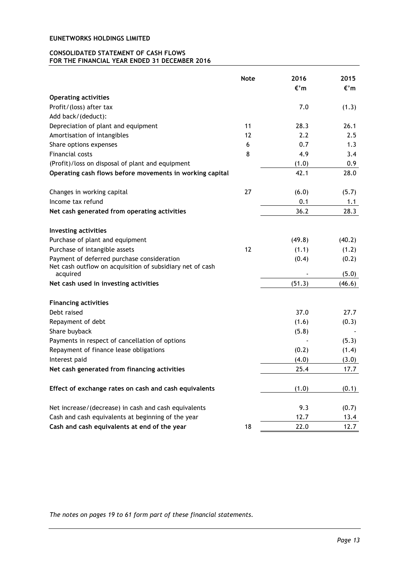# **CONSOLIDATED STATEMENT OF CASH FLOWS FOR THE FINANCIAL YEAR ENDED 31 DECEMBER 2016**

|                                                                       | <b>Note</b> | 2016   | 2015   |
|-----------------------------------------------------------------------|-------------|--------|--------|
|                                                                       |             | €'m    | €'m    |
| <b>Operating activities</b>                                           |             |        |        |
| Profit/(loss) after tax                                               |             | 7.0    | (1.3)  |
| Add back/(deduct):                                                    |             |        |        |
| Depreciation of plant and equipment                                   | 11          | 28.3   | 26.1   |
| Amortisation of intangibles                                           | 12          | 2.2    | 2.5    |
| Share options expenses                                                | 6           | 0.7    | 1.3    |
| <b>Financial costs</b>                                                | 8           | 4.9    | 3.4    |
| (Profit)/loss on disposal of plant and equipment                      |             | (1.0)  | 0.9    |
| Operating cash flows before movements in working capital              |             | 42.1   | 28.0   |
| Changes in working capital                                            | 27          | (6.0)  | (5.7)  |
| Income tax refund                                                     |             | 0.1    | 1.1    |
| Net cash generated from operating activities                          |             | 36.2   | 28.3   |
| <b>Investing activities</b>                                           |             |        |        |
| Purchase of plant and equipment                                       |             | (49.8) | (40.2) |
| Purchase of intangible assets                                         | 12          | (1.1)  | (1.2)  |
| Payment of deferred purchase consideration                            |             | (0.4)  | (0.2)  |
| Net cash outflow on acquisition of subsidiary net of cash<br>acquired |             |        | (5.0)  |
| Net cash used in investing activities                                 |             | (51.3) | (46.6) |
| <b>Financing activities</b>                                           |             |        |        |
| Debt raised                                                           |             | 37.0   | 27.7   |
| Repayment of debt                                                     |             | (1.6)  | (0.3)  |
| Share buyback                                                         |             | (5.8)  |        |
| Payments in respect of cancellation of options                        |             |        | (5.3)  |
| Repayment of finance lease obligations                                |             | (0.2)  | (1.4)  |
| Interest paid                                                         |             | (4.0)  | (3.0)  |
| Net cash generated from financing activities                          |             | 25.4   | 17.7   |
| Effect of exchange rates on cash and cash equivalents                 |             | (1.0)  | (0.1)  |
| Net increase/(decrease) in cash and cash equivalents                  |             | 9.3    | (0.7)  |
| Cash and cash equivalents at beginning of the year                    |             | 12.7   | 13.4   |
| Cash and cash equivalents at end of the year                          | 18          | 22.0   | 12.7   |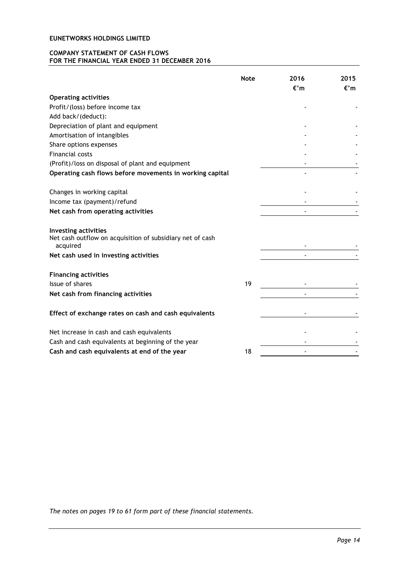# **COMPANY STATEMENT OF CASH FLOWS FOR THE FINANCIAL YEAR ENDED 31 DECEMBER 2016**

|                                                                       | <b>Note</b> | 2016<br>€'m | 2015<br>€'m |
|-----------------------------------------------------------------------|-------------|-------------|-------------|
| <b>Operating activities</b>                                           |             |             |             |
| Profit/(loss) before income tax                                       |             |             |             |
| Add back/(deduct):                                                    |             |             |             |
| Depreciation of plant and equipment                                   |             |             |             |
| Amortisation of intangibles                                           |             |             |             |
| Share options expenses                                                |             |             |             |
| Financial costs                                                       |             |             |             |
| (Profit)/loss on disposal of plant and equipment                      |             |             |             |
| Operating cash flows before movements in working capital              |             |             |             |
| Changes in working capital                                            |             |             |             |
| Income tax (payment)/refund                                           |             |             |             |
| Net cash from operating activities                                    |             |             |             |
|                                                                       |             |             |             |
| <b>Investing activities</b>                                           |             |             |             |
| Net cash outflow on acquisition of subsidiary net of cash<br>acquired |             |             |             |
|                                                                       |             |             |             |
| Net cash used in investing activities                                 |             |             |             |
| <b>Financing activities</b>                                           |             |             |             |
| Issue of shares                                                       | 19          |             |             |
| Net cash from financing activities                                    |             |             |             |
|                                                                       |             |             |             |
| Effect of exchange rates on cash and cash equivalents                 |             |             |             |
|                                                                       |             |             |             |
| Net increase in cash and cash equivalents                             |             |             |             |
| Cash and cash equivalents at beginning of the year                    |             |             |             |
| Cash and cash equivalents at end of the year                          | 18          |             |             |
|                                                                       |             |             |             |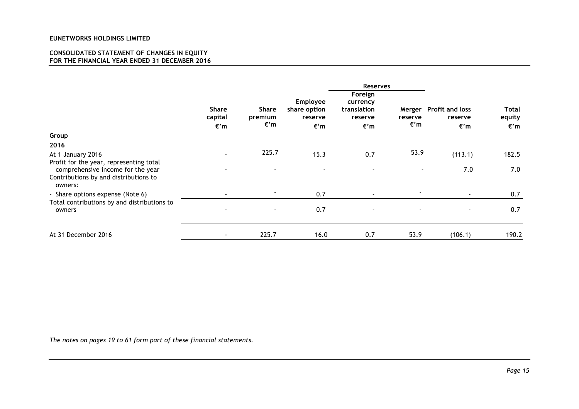#### **CONSOLIDATED STATEMENT OF CHANGES IN EQUITY FOR THE FINANCIAL YEAR ENDED 31 DECEMBER 2016**

|                                                                                                                                  |                                |                                |                                            | <b>Reserves</b>                                      |                |                                          |                        |
|----------------------------------------------------------------------------------------------------------------------------------|--------------------------------|--------------------------------|--------------------------------------------|------------------------------------------------------|----------------|------------------------------------------|------------------------|
|                                                                                                                                  | <b>Share</b><br>capital<br>€'m | <b>Share</b><br>premium<br>€'m | Employee<br>share option<br>reserve<br>€'m | Foreign<br>currency<br>translation<br>reserve<br>€'m | reserve<br>€'m | Merger Profit and loss<br>reserve<br>€'m | Total<br>equity<br>€'m |
| Group                                                                                                                            |                                |                                |                                            |                                                      |                |                                          |                        |
| 2016                                                                                                                             |                                |                                |                                            |                                                      |                |                                          |                        |
| At 1 January 2016                                                                                                                |                                | 225.7                          | 15.3                                       | 0.7                                                  | 53.9           | (113.1)                                  | 182.5                  |
| Profit for the year, representing total<br>comprehensive income for the year<br>Contributions by and distributions to<br>owners: |                                |                                |                                            |                                                      |                | 7.0                                      | 7.0                    |
| - Share options expense (Note 6)                                                                                                 | $\blacksquare$                 |                                | 0.7                                        | $\sim$                                               | $\sim$         | $\blacksquare$                           | 0.7                    |
| Total contributions by and distributions to<br>owners                                                                            |                                |                                | 0.7                                        |                                                      |                |                                          | 0.7                    |
| At 31 December 2016                                                                                                              |                                | 225.7                          | 16.0                                       | 0.7                                                  | 53.9           | (106.1)                                  | 190.2                  |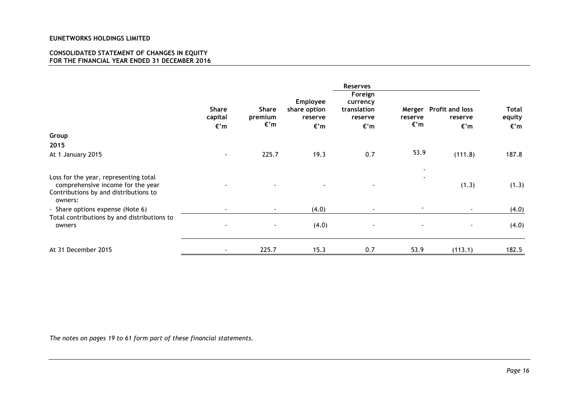#### **CONSOLIDATED STATEMENT OF CHANGES IN EQUITY FOR THE FINANCIAL YEAR ENDED 31 DECEMBER 2016**

|                                                                                                                                | <b>Share</b><br>capital<br>€'m | <b>Share</b><br>premium<br>€'m | Employee<br>share option<br>reserve<br>€'m | <b>Reserves</b><br>Foreign<br>currency<br>translation<br>reserve<br>€'m | reserve<br>€'m                             | Merger Profit and loss<br>reserve<br>€'m | Total<br>equity<br>€'m |
|--------------------------------------------------------------------------------------------------------------------------------|--------------------------------|--------------------------------|--------------------------------------------|-------------------------------------------------------------------------|--------------------------------------------|------------------------------------------|------------------------|
| Group                                                                                                                          |                                |                                |                                            |                                                                         |                                            |                                          |                        |
| 2015                                                                                                                           |                                |                                |                                            |                                                                         |                                            |                                          |                        |
| At 1 January 2015                                                                                                              |                                | 225.7                          | 19.3                                       | 0.7                                                                     | 53.9                                       | (111.8)                                  | 187.8                  |
| Loss for the year, representing total<br>comprehensive income for the year<br>Contributions by and distributions to<br>owners: |                                |                                |                                            | $\overline{\phantom{a}}$                                                | $\overline{\phantom{0}}$<br>$\blacksquare$ | (1.3)                                    | (1.3)                  |
| - Share options expense (Note 6)                                                                                               |                                |                                | (4.0)                                      |                                                                         | $\overline{\phantom{a}}$                   |                                          | (4.0)                  |
| Total contributions by and distributions to<br>owners                                                                          |                                |                                | (4.0)                                      |                                                                         | $\blacksquare$                             | $\blacksquare$                           | (4.0)                  |
| At 31 December 2015                                                                                                            |                                | 225.7                          | 15.3                                       | 0.7                                                                     | 53.9                                       | (113.1)                                  | 182.5                  |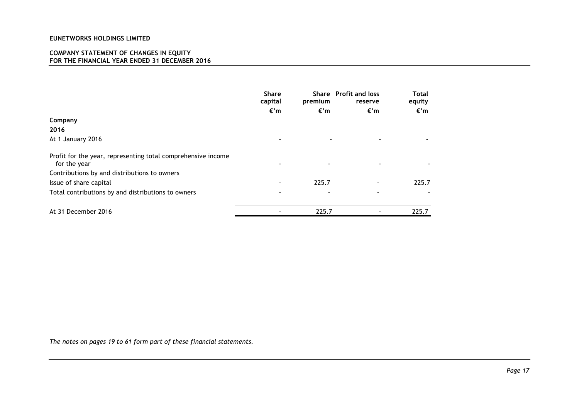#### **COMPANY STATEMENT OF CHANGES IN EQUITY FOR THE FINANCIAL YEAR ENDED 31 DECEMBER 2016**

|                                                                              | <b>Share</b><br>capital | premium | Share Profit and loss<br>reserve | <b>Total</b><br>equity |
|------------------------------------------------------------------------------|-------------------------|---------|----------------------------------|------------------------|
|                                                                              | €'m                     | €'m     | €'m                              | €'m                    |
| Company                                                                      |                         |         |                                  |                        |
| 2016                                                                         |                         |         |                                  |                        |
| At 1 January 2016                                                            |                         |         |                                  |                        |
| Profit for the year, representing total comprehensive income<br>for the year |                         |         |                                  |                        |
| Contributions by and distributions to owners                                 |                         |         |                                  |                        |
| Issue of share capital                                                       |                         | 225.7   |                                  | 225.7                  |
| Total contributions by and distributions to owners                           |                         |         |                                  |                        |
| At 31 December 2016                                                          |                         | 225.7   |                                  | 225.7                  |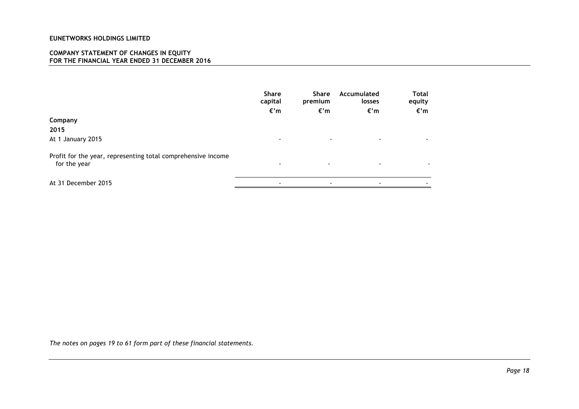#### **COMPANY STATEMENT OF CHANGES IN EQUITY FOR THE FINANCIAL YEAR ENDED 31 DECEMBER 2016**

|                                                                              | <b>Share</b><br>capital<br>€'m | <b>Share</b><br>premium<br>€'m | Accumulated<br>losses<br>€'m | <b>Total</b><br>equity<br>€'m |
|------------------------------------------------------------------------------|--------------------------------|--------------------------------|------------------------------|-------------------------------|
| Company                                                                      |                                |                                |                              |                               |
| 2015<br>At 1 January 2015                                                    | $\overline{\phantom{0}}$       | $\blacksquare$                 | $\blacksquare$               |                               |
| Profit for the year, representing total comprehensive income<br>for the year | $\overline{\phantom{a}}$       | $\blacksquare$                 |                              |                               |
| At 31 December 2015                                                          | $\overline{\phantom{a}}$       | $\blacksquare$                 | $\overline{\phantom{0}}$     |                               |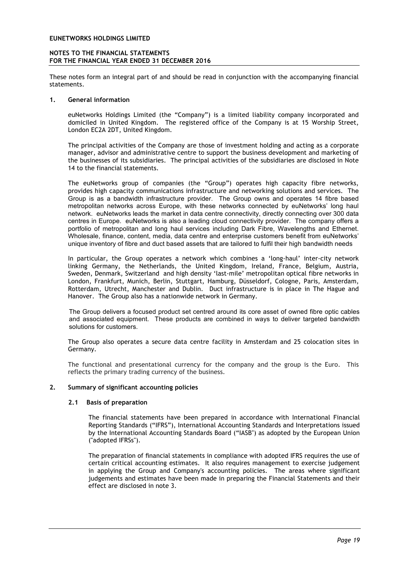# **NOTES TO THE FINANCIAL STATEMENTS FOR THE FINANCIAL YEAR ENDED 31 DECEMBER 2016**

These notes form an integral part of and should be read in conjunction with the accompanying financial statements.

### **1. General information**

euNetworks Holdings Limited (the "Company") is a limited liability company incorporated and domiciled in United Kingdom. The registered office of the Company is at 15 Worship Street, London EC2A 2DT, United Kingdom.

The principal activities of the Company are those of investment holding and acting as a corporate manager, advisor and administrative centre to support the business development and marketing of the businesses of its subsidiaries. The principal activities of the subsidiaries are disclosed in Note 14 to the financial statements.

The euNetworks group of companies (the "Group") operates high capacity fibre networks, provides high capacity communications infrastructure and networking solutions and services. The Group is as a bandwidth infrastructure provider. The Group owns and operates 14 fibre based metropolitan networks across Europe, with these networks connected by euNetworks' long haul network. euNetworks leads the market in data centre connectivity, directly connecting over 300 data centres in Europe. euNetworks is also a leading cloud connectivity provider. The company offers a portfolio of metropolitan and long haul services including Dark Fibre, Wavelengths and Ethernet. Wholesale, finance, content, media, data centre and enterprise customers benefit from euNetworks' unique inventory of fibre and duct based assets that are tailored to fulfil their high bandwidth needs

In particular, the Group operates a network which combines a 'long-haul' inter-city network linking Germany, the Netherlands, the United Kingdom, Ireland, France, Belgium, Austria, Sweden, Denmark, Switzerland and high density 'last-mile' metropolitan optical fibre networks in London, Frankfurt, Munich, Berlin, Stuttgart, Hamburg, Düsseldorf, Cologne, Paris, Amsterdam, Rotterdam, Utrecht, Manchester and Dublin. Duct infrastructure is in place in The Hague and Hanover. The Group also has a nationwide network in Germany.

The Group delivers a focused product set centred around its core asset of owned fibre optic cables and associated equipment. These products are combined in ways to deliver targeted bandwidth solutions for customers.

The Group also operates a secure data centre facility in Amsterdam and 25 colocation sites in Germany.

The functional and presentational currency for the company and the group is the Euro. This reflects the primary trading currency of the business.

# **2. Summary of significant accounting policies**

# **2.1 Basis of preparation**

The financial statements have been prepared in accordance with International Financial Reporting Standards ("IFRS"), International Accounting Standards and Interpretations issued by the International Accounting Standards Board ("IASB") as adopted by the European Union ("adopted IFRSs").

The preparation of financial statements in compliance with adopted IFRS requires the use of certain critical accounting estimates. It also requires management to exercise judgement in applying the Group and Company's accounting policies. The areas where significant judgements and estimates have been made in preparing the Financial Statements and their effect are disclosed in note 3.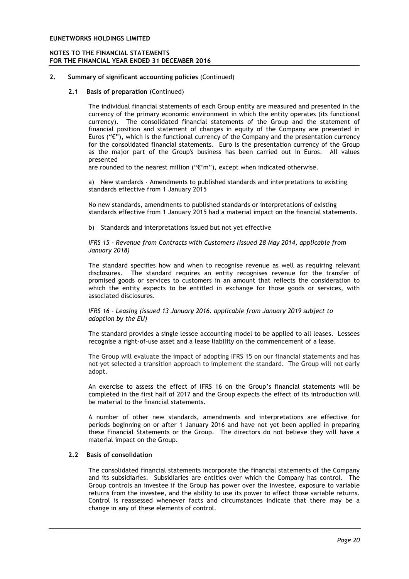### **NOTES TO THE FINANCIAL STATEMENTS FOR THE FINANCIAL YEAR ENDED 31 DECEMBER 2016**

#### **2. Summary of significant accounting policies** (Continued)

#### **2.1 Basis of preparation** (Continued)

The individual financial statements of each Group entity are measured and presented in the currency of the primary economic environment in which the entity operates (its functional currency). The consolidated financial statements of the Group and the statement of financial position and statement of changes in equity of the Company are presented in Euros ( $(\mathscr{C})$ , which is the functional currency of the Company and the presentation currency for the consolidated financial statements. Euro is the presentation currency of the Group as the major part of the Group's business has been carried out in Euros. All values presented

are rounded to the nearest million ("€'m"), except when indicated otherwise.

a) New standards - Amendments to published standards and interpretations to existing standards effective from 1 January 2015

No new standards, amendments to published standards or interpretations of existing standards effective from 1 January 2015 had a material impact on the financial statements.

b) Standards and interpretations issued but not yet effective

*IFRS 15 - Revenue from Contracts with Customers (Issued 28 May 2014, applicable from January 2018)*

The standard specifies how and when to recognise revenue as well as requiring relevant disclosures. The standard requires an entity recognises revenue for the transfer of promised goods or services to customers in an amount that reflects the consideration to which the entity expects to be entitled in exchange for those goods or services, with associated disclosures.

# *IFRS 16 - Leasing (issued 13 January 2016. applicable from January 2019 subject to adoption by the EU)*

The standard provides a single lessee accounting model to be applied to all leases. Lessees recognise a right-of-use asset and a lease liability on the commencement of a lease.

The Group will evaluate the impact of adopting IFRS 15 on our financial statements and has not yet selected a transition approach to implement the standard. The Group will not early adopt.

An exercise to assess the effect of IFRS 16 on the Group's financial statements will be completed in the first half of 2017 and the Group expects the effect of its introduction will be material to the financial statements.

A number of other new standards, amendments and interpretations are effective for periods beginning on or after 1 January 2016 and have not yet been applied in preparing these Financial Statements or the Group. The directors do not believe they will have a material impact on the Group.

# **2.2 Basis of consolidation**

The consolidated financial statements incorporate the financial statements of the Company and its subsidiaries. Subsidiaries are entities over which the Company has control. The Group controls an investee if the Group has power over the investee, exposure to variable returns from the investee, and the ability to use its power to affect those variable returns. Control is reassessed whenever facts and circumstances indicate that there may be a change in any of these elements of control.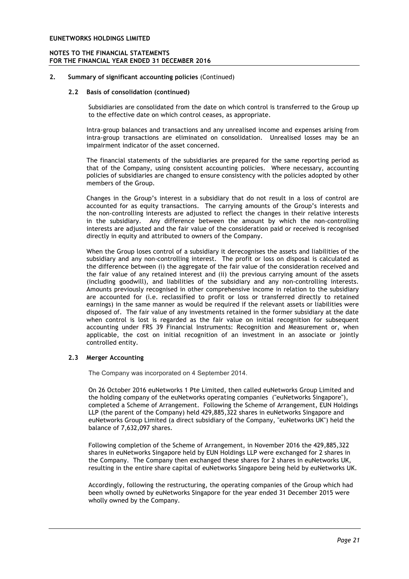### **NOTES TO THE FINANCIAL STATEMENTS FOR THE FINANCIAL YEAR ENDED 31 DECEMBER 2016**

#### **2. Summary of significant accounting policies** (Continued)

#### **2.2 Basis of consolidation (continued)**

Subsidiaries are consolidated from the date on which control is transferred to the Group up to the effective date on which control ceases, as appropriate.

Intra-group balances and transactions and any unrealised income and expenses arising from intra-group transactions are eliminated on consolidation. Unrealised losses may be an impairment indicator of the asset concerned.

The financial statements of the subsidiaries are prepared for the same reporting period as that of the Company, using consistent accounting policies. Where necessary, accounting policies of subsidiaries are changed to ensure consistency with the policies adopted by other members of the Group.

Changes in the Group's interest in a subsidiary that do not result in a loss of control are accounted for as equity transactions. The carrying amounts of the Group's interests and the non-controlling interests are adjusted to reflect the changes in their relative interests in the subsidiary. Any difference between the amount by which the non-controlling interests are adjusted and the fair value of the consideration paid or received is recognised directly in equity and attributed to owners of the Company.

When the Group loses control of a subsidiary it derecognises the assets and liabilities of the subsidiary and any non-controlling interest. The profit or loss on disposal is calculated as the difference between (i) the aggregate of the fair value of the consideration received and the fair value of any retained interest and (ii) the previous carrying amount of the assets (including goodwill), and liabilities of the subsidiary and any non-controlling interests. Amounts previously recognised in other comprehensive income in relation to the subsidiary are accounted for (i.e. reclassified to profit or loss or transferred directly to retained earnings) in the same manner as would be required if the relevant assets or liabilities were disposed of. The fair value of any investments retained in the former subsidiary at the date when control is lost is regarded as the fair value on initial recognition for subsequent accounting under FRS 39 Financial Instruments: Recognition and Measurement or, when applicable, the cost on initial recognition of an investment in an associate or jointly controlled entity.

### **2.3 Merger Accounting**

The Company was incorporated on 4 September 2014.

On 26 October 2016 euNetworks 1 Pte Limited, then called euNetworks Group Limited and the holding company of the euNetworks operating companies ("euNetworks Singapore"), completed a Scheme of Arrangement. Following the Scheme of Arrangement, EUN Holdings LLP (the parent of the Company) held 429,885,322 shares in euNetworks Singapore and euNetworks Group Limited (a direct subsidiary of the Company, "euNetworks UK") held the balance of 7,632,097 shares.

Following completion of the Scheme of Arrangement, in November 2016 the 429,885,322 shares in euNetworks Singapore held by EUN Holdings LLP were exchanged for 2 shares in the Company. The Company then exchanged these shares for 2 shares in euNetworks UK, resulting in the entire share capital of euNetworks Singapore being held by euNetworks UK.

Accordingly, following the restructuring, the operating companies of the Group which had been wholly owned by euNetworks Singapore for the year ended 31 December 2015 were wholly owned by the Company.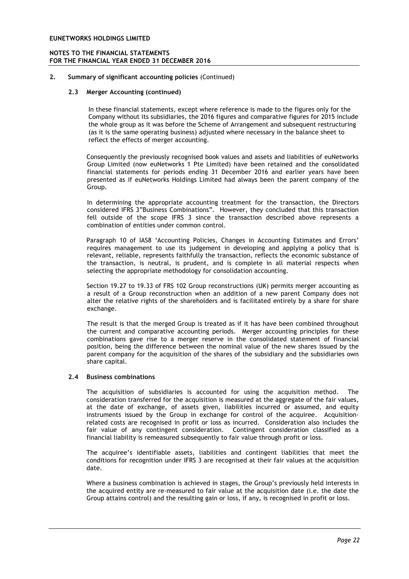# **NOTES TO THE FINANCIAL STATEMENTS FOR THE FINANCIAL YEAR ENDED 31 DECEMBER 2016**

# **2. Summary of significant accounting policies** (Continued)

# **2.3 Merger Accounting (continued)**

In these financial statements, except where reference is made to the figures only for the Company without its subsidiaries, the 2016 figures and comparative figures for 2015 include the whole group as it was before the Scheme of Arrangement and subsequent restructuring (as it is the same operating business) adjusted where necessary in the balance sheet to reflect the effects of merger accounting.

Consequently the previously recognised book values and assets and liabilities of euNetworks Group Limited (now euNetworks 1 Pte Limited) have been retained and the consolidated financial statements for periods ending 31 December 2016 and earlier years have been presented as if euNetworks Holdings Limited had always been the parent company of the Group.

In determining the appropriate accounting treatment for the transaction, the Directors considered IFRS 3"Business Combinations". However, they concluded that this transaction fell outside of the scope IFRS 3 since the transaction described above represents a combination of entities under common control.

Paragraph 10 of IAS8 'Accounting Policies, Changes in Accounting Estimates and Errors' requires management to use its judgement in developing and applying a policy that is relevant, reliable, represents faithfully the transaction, reflects the economic substance of the transaction, is neutral, is prudent, and is complete in all material respects when selecting the appropriate methodology for consolidation accounting.

Section 19.27 to 19.33 of FRS 102 Group reconstructions (UK) permits merger accounting as a result of a Group reconstruction when an addition of a new parent Company does not alter the relative rights of the shareholders and is facilitated entirely by a share for share exchange.

The result is that the merged Group is treated as if it has have been combined throughout the current and comparative accounting periods. Merger accounting principles for these combinations gave rise to a merger reserve in the consolidated statement of financial position, being the difference between the nominal value of the new shares issued by the parent company for the acquisition of the shares of the subsidiary and the subsidiaries own share capital.

# **2.4 Business combinations**

The acquisition of subsidiaries is accounted for using the acquisition method. The consideration transferred for the acquisition is measured at the aggregate of the fair values, at the date of exchange, of assets given, liabilities incurred or assumed, and equity instruments issued by the Group in exchange for control of the acquiree. Acquisitionrelated costs are recognised in profit or loss as incurred. Consideration also includes the fair value of any contingent consideration. Contingent consideration classified as a financial liability is remeasured subsequently to fair value through profit or loss.

The acquiree's identifiable assets, liabilities and contingent liabilities that meet the conditions for recognition under IFRS 3 are recognised at their fair values at the acquisition date.

Where a business combination is achieved in stages, the Group's previously held interests in the acquired entity are re-measured to fair value at the acquisition date (i.e. the date the Group attains control) and the resulting gain or loss, if any, is recognised in profit or loss.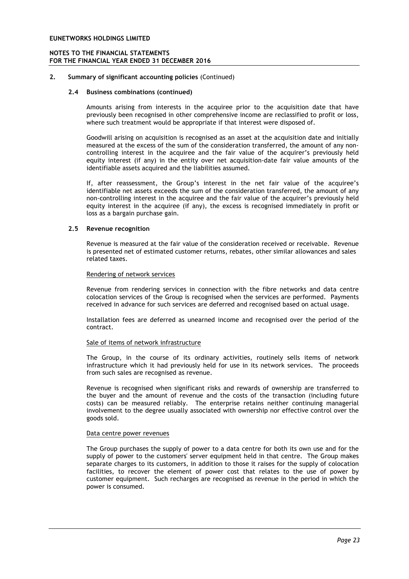### **NOTES TO THE FINANCIAL STATEMENTS FOR THE FINANCIAL YEAR ENDED 31 DECEMBER 2016**

#### **2. Summary of significant accounting policies** (Continued)

# **2.4 Business combinations (continued)**

Amounts arising from interests in the acquiree prior to the acquisition date that have previously been recognised in other comprehensive income are reclassified to profit or loss, where such treatment would be appropriate if that interest were disposed of.

Goodwill arising on acquisition is recognised as an asset at the acquisition date and initially measured at the excess of the sum of the consideration transferred, the amount of any noncontrolling interest in the acquiree and the fair value of the acquirer's previously held equity interest (if any) in the entity over net acquisition-date fair value amounts of the identifiable assets acquired and the liabilities assumed.

If, after reassessment, the Group's interest in the net fair value of the acquiree's identifiable net assets exceeds the sum of the consideration transferred, the amount of any non-controlling interest in the acquiree and the fair value of the acquirer's previously held equity interest in the acquiree (if any), the excess is recognised immediately in profit or loss as a bargain purchase gain.

#### **2.5 Revenue recognition**

Revenue is measured at the fair value of the consideration received or receivable. Revenue is presented net of estimated customer returns, rebates, other similar allowances and sales related taxes.

#### Rendering of network services

Revenue from rendering services in connection with the fibre networks and data centre colocation services of the Group is recognised when the services are performed. Payments received in advance for such services are deferred and recognised based on actual usage.

Installation fees are deferred as unearned income and recognised over the period of the contract.

#### Sale of items of network infrastructure

The Group, in the course of its ordinary activities, routinely sells items of network infrastructure which it had previously held for use in its network services. The proceeds from such sales are recognised as revenue.

Revenue is recognised when significant risks and rewards of ownership are transferred to the buyer and the amount of revenue and the costs of the transaction (including future costs) can be measured reliably. The enterprise retains neither continuing managerial involvement to the degree usually associated with ownership nor effective control over the goods sold.

#### Data centre power revenues

The Group purchases the supply of power to a data centre for both its own use and for the supply of power to the customers' server equipment held in that centre. The Group makes separate charges to its customers, in addition to those it raises for the supply of colocation facilities, to recover the element of power cost that relates to the use of power by customer equipment. Such recharges are recognised as revenue in the period in which the power is consumed.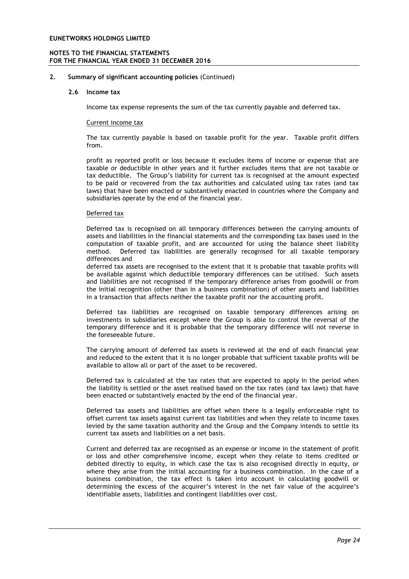### **NOTES TO THE FINANCIAL STATEMENTS FOR THE FINANCIAL YEAR ENDED 31 DECEMBER 2016**

#### **2. Summary of significant accounting policies** (Continued)

#### **2.6 Income tax**

Income tax expense represents the sum of the tax currently payable and deferred tax.

#### Current income tax

The tax currently payable is based on taxable profit for the year. Taxable profit differs from.

profit as reported profit or loss because it excludes items of income or expense that are taxable or deductible in other years and it further excludes items that are not taxable or tax deductible. The Group's liability for current tax is recognised at the amount expected to be paid or recovered from the tax authorities and calculated using tax rates (and tax laws) that have been enacted or substantively enacted in countries where the Company and subsidiaries operate by the end of the financial year.

#### Deferred tax

Deferred tax is recognised on all temporary differences between the carrying amounts of assets and liabilities in the financial statements and the corresponding tax bases used in the computation of taxable profit, and are accounted for using the balance sheet liability method. Deferred tax liabilities are generally recognised for all taxable temporary differences and

deferred tax assets are recognised to the extent that it is probable that taxable profits will be available against which deductible temporary differences can be utilised. Such assets and liabilities are not recognised if the temporary difference arises from goodwill or from the initial recognition (other than in a business combination) of other assets and liabilities in a transaction that affects neither the taxable profit nor the accounting profit.

Deferred tax liabilities are recognised on taxable temporary differences arising on investments in subsidiaries except where the Group is able to control the reversal of the temporary difference and it is probable that the temporary difference will not reverse in the foreseeable future.

The carrying amount of deferred tax assets is reviewed at the end of each financial year and reduced to the extent that it is no longer probable that sufficient taxable profits will be available to allow all or part of the asset to be recovered.

Deferred tax is calculated at the tax rates that are expected to apply in the period when the liability is settled or the asset realised based on the tax rates (and tax laws) that have been enacted or substantively enacted by the end of the financial year.

Deferred tax assets and liabilities are offset when there is a legally enforceable right to offset current tax assets against current tax liabilities and when they relate to income taxes levied by the same taxation authority and the Group and the Company intends to settle its current tax assets and liabilities on a net basis.

Current and deferred tax are recognised as an expense or income in the statement of profit or loss and other comprehensive income, except when they relate to items credited or debited directly to equity, in which case the tax is also recognised directly in equity, or where they arise from the initial accounting for a business combination. In the case of a business combination, the tax effect is taken into account in calculating goodwill or determining the excess of the acquirer's interest in the net fair value of the acquiree's identifiable assets, liabilities and contingent liabilities over cost.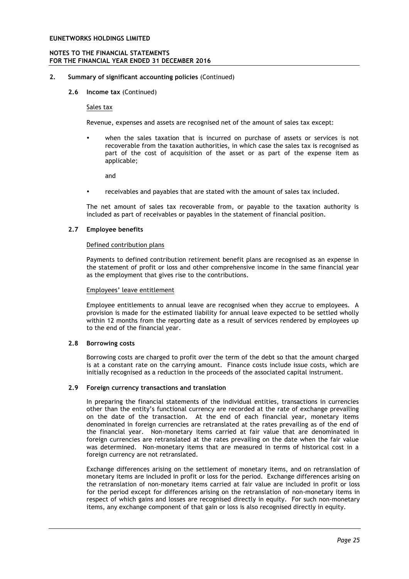# **NOTES TO THE FINANCIAL STATEMENTS FOR THE FINANCIAL YEAR ENDED 31 DECEMBER 2016**

#### **2. Summary of significant accounting policies** (Continued)

**2.6 Income tax** (Continued)

#### Sales tax

Revenue, expenses and assets are recognised net of the amount of sales tax except:

• when the sales taxation that is incurred on purchase of assets or services is not recoverable from the taxation authorities, in which case the sales tax is recognised as part of the cost of acquisition of the asset or as part of the expense item as applicable;

and

• receivables and payables that are stated with the amount of sales tax included.

The net amount of sales tax recoverable from, or payable to the taxation authority is included as part of receivables or payables in the statement of financial position.

# **2.7 Employee benefits**

### Defined contribution plans

Payments to defined contribution retirement benefit plans are recognised as an expense in the statement of profit or loss and other comprehensive income in the same financial year as the employment that gives rise to the contributions.

### Employees' leave entitlement

Employee entitlements to annual leave are recognised when they accrue to employees. A provision is made for the estimated liability for annual leave expected to be settled wholly within 12 months from the reporting date as a result of services rendered by employees up to the end of the financial year.

### **2.8 Borrowing costs**

Borrowing costs are charged to profit over the term of the debt so that the amount charged is at a constant rate on the carrying amount. Finance costs include issue costs, which are initially recognised as a reduction in the proceeds of the associated capital instrument.

# **2.9 Foreign currency transactions and translation**

In preparing the financial statements of the individual entities, transactions in currencies other than the entity's functional currency are recorded at the rate of exchange prevailing on the date of the transaction. At the end of each financial year, monetary items denominated in foreign currencies are retranslated at the rates prevailing as of the end of the financial year. Non-monetary items carried at fair value that are denominated in foreign currencies are retranslated at the rates prevailing on the date when the fair value was determined. Non-monetary items that are measured in terms of historical cost in a foreign currency are not retranslated.

Exchange differences arising on the settlement of monetary items, and on retranslation of monetary items are included in profit or loss for the period. Exchange differences arising on the retranslation of non-monetary items carried at fair value are included in profit or loss for the period except for differences arising on the retranslation of non-monetary items in respect of which gains and losses are recognised directly in equity. For such non-monetary items, any exchange component of that gain or loss is also recognised directly in equity.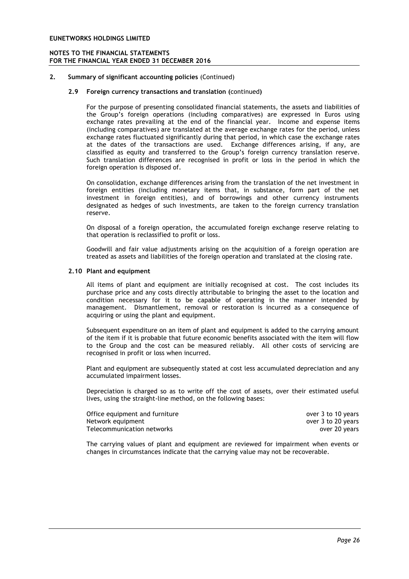### **NOTES TO THE FINANCIAL STATEMENTS FOR THE FINANCIAL YEAR ENDED 31 DECEMBER 2016**

#### **2. Summary of significant accounting policies** (Continued)

# **2.9 Foreign currency transactions and translation (**continued**)**

For the purpose of presenting consolidated financial statements, the assets and liabilities of the Group's foreign operations (including comparatives) are expressed in Euros using exchange rates prevailing at the end of the financial year. Income and expense items (including comparatives) are translated at the average exchange rates for the period, unless exchange rates fluctuated significantly during that period, in which case the exchange rates at the dates of the transactions are used. Exchange differences arising, if any, are classified as equity and transferred to the Group's foreign currency translation reserve. Such translation differences are recognised in profit or loss in the period in which the foreign operation is disposed of.

On consolidation, exchange differences arising from the translation of the net investment in foreign entities (including monetary items that, in substance, form part of the net investment in foreign entities), and of borrowings and other currency instruments designated as hedges of such investments, are taken to the foreign currency translation reserve.

On disposal of a foreign operation, the accumulated foreign exchange reserve relating to that operation is reclassified to profit or loss.

Goodwill and fair value adjustments arising on the acquisition of a foreign operation are treated as assets and liabilities of the foreign operation and translated at the closing rate.

#### **2.10 Plant and equipment**

All items of plant and equipment are initially recognised at cost. The cost includes its purchase price and any costs directly attributable to bringing the asset to the location and condition necessary for it to be capable of operating in the manner intended by management. Dismantlement, removal or restoration is incurred as a consequence of acquiring or using the plant and equipment.

Subsequent expenditure on an item of plant and equipment is added to the carrying amount of the item if it is probable that future economic benefits associated with the item will flow to the Group and the cost can be measured reliably. All other costs of servicing are recognised in profit or loss when incurred.

Plant and equipment are subsequently stated at cost less accumulated depreciation and any accumulated impairment losses.

Depreciation is charged so as to write off the cost of assets, over their estimated useful lives, using the straight-line method, on the following bases:

Office equipment and furniture **over 3** to 10 years Network equipment over 3 to 20 years<br>
Telecommunication networks and the set of the set over 20 years over 20 years Telecommunication networks

The carrying values of plant and equipment are reviewed for impairment when events or changes in circumstances indicate that the carrying value may not be recoverable.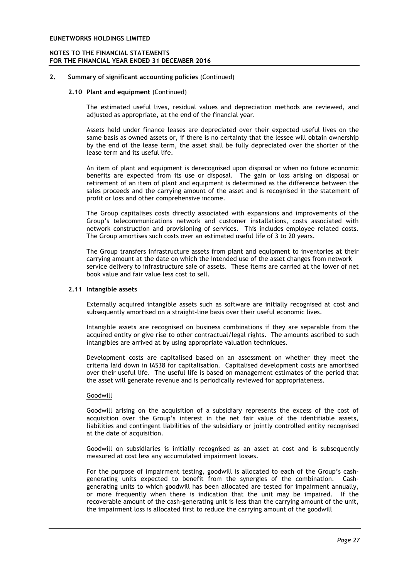### **NOTES TO THE FINANCIAL STATEMENTS FOR THE FINANCIAL YEAR ENDED 31 DECEMBER 2016**

#### **2. Summary of significant accounting policies** (Continued)

#### **2.10 Plant and equipment** (Continued)

The estimated useful lives, residual values and depreciation methods are reviewed, and adjusted as appropriate, at the end of the financial year.

Assets held under finance leases are depreciated over their expected useful lives on the same basis as owned assets or, if there is no certainty that the lessee will obtain ownership by the end of the lease term, the asset shall be fully depreciated over the shorter of the lease term and its useful life.

An item of plant and equipment is derecognised upon disposal or when no future economic benefits are expected from its use or disposal. The gain or loss arising on disposal or retirement of an item of plant and equipment is determined as the difference between the sales proceeds and the carrying amount of the asset and is recognised in the statement of profit or loss and other comprehensive income.

The Group capitalises costs directly associated with expansions and improvements of the Group's telecommunications network and customer installations, costs associated with network construction and provisioning of services. This includes employee related costs. The Group amortises such costs over an estimated useful life of 3 to 20 years.

The Group transfers infrastructure assets from plant and equipment to inventories at their carrying amount at the date on which the intended use of the asset changes from network service delivery to infrastructure sale of assets. These items are carried at the lower of net book value and fair value less cost to sell.

### **2.11 Intangible assets**

Externally acquired intangible assets such as software are initially recognised at cost and subsequently amortised on a straight-line basis over their useful economic lives.

Intangible assets are recognised on business combinations if they are separable from the acquired entity or give rise to other contractual/legal rights. The amounts ascribed to such intangibles are arrived at by using appropriate valuation techniques.

Development costs are capitalised based on an assessment on whether they meet the criteria laid down in IAS38 for capitalisation. Capitalised development costs are amortised over their useful life. The useful life is based on management estimates of the period that the asset will generate revenue and is periodically reviewed for appropriateness.

#### Goodwill

Goodwill arising on the acquisition of a subsidiary represents the excess of the cost of acquisition over the Group's interest in the net fair value of the identifiable assets, liabilities and contingent liabilities of the subsidiary or jointly controlled entity recognised at the date of acquisition.

Goodwill on subsidiaries is initially recognised as an asset at cost and is subsequently measured at cost less any accumulated impairment losses.

For the purpose of impairment testing, goodwill is allocated to each of the Group's cashgenerating units expected to benefit from the synergies of the combination. Cashgenerating units to which goodwill has been allocated are tested for impairment annually, or more frequently when there is indication that the unit may be impaired. If the recoverable amount of the cash-generating unit is less than the carrying amount of the unit, the impairment loss is allocated first to reduce the carrying amount of the goodwill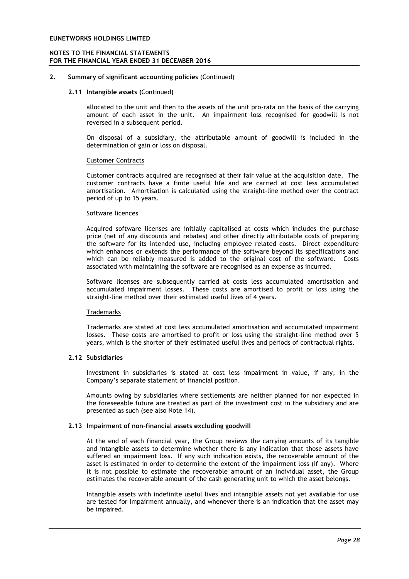### **NOTES TO THE FINANCIAL STATEMENTS FOR THE FINANCIAL YEAR ENDED 31 DECEMBER 2016**

#### **2. Summary of significant accounting policies** (Continued)

#### **2.11 Intangible assets (**Continued**)**

allocated to the unit and then to the assets of the unit pro-rata on the basis of the carrying amount of each asset in the unit. An impairment loss recognised for goodwill is not reversed in a subsequent period.

On disposal of a subsidiary, the attributable amount of goodwill is included in the determination of gain or loss on disposal.

#### Customer Contracts

Customer contracts acquired are recognised at their fair value at the acquisition date. The customer contracts have a finite useful life and are carried at cost less accumulated amortisation. Amortisation is calculated using the straight-line method over the contract period of up to 15 years.

#### Software licences

Acquired software licenses are initially capitalised at costs which includes the purchase price (net of any discounts and rebates) and other directly attributable costs of preparing the software for its intended use, including employee related costs. Direct expenditure which enhances or extends the performance of the software beyond its specifications and which can be reliably measured is added to the original cost of the software. Costs associated with maintaining the software are recognised as an expense as incurred.

Software licenses are subsequently carried at costs less accumulated amortisation and accumulated impairment losses. These costs are amortised to profit or loss using the straight-line method over their estimated useful lives of 4 years.

#### Trademarks

Trademarks are stated at cost less accumulated amortisation and accumulated impairment losses. These costs are amortised to profit or loss using the straight-line method over 5 years, which is the shorter of their estimated useful lives and periods of contractual rights.

#### **2.12 Subsidiaries**

Investment in subsidiaries is stated at cost less impairment in value, if any, in the Company's separate statement of financial position.

Amounts owing by subsidiaries where settlements are neither planned for nor expected in the foreseeable future are treated as part of the investment cost in the subsidiary and are presented as such (see also Note 14).

#### **2.13 Impairment of non-financial assets excluding goodwill**

At the end of each financial year, the Group reviews the carrying amounts of its tangible and intangible assets to determine whether there is any indication that those assets have suffered an impairment loss. If any such indication exists, the recoverable amount of the asset is estimated in order to determine the extent of the impairment loss (if any). Where it is not possible to estimate the recoverable amount of an individual asset, the Group estimates the recoverable amount of the cash generating unit to which the asset belongs.

Intangible assets with indefinite useful lives and intangible assets not yet available for use are tested for impairment annually, and whenever there is an indication that the asset may be impaired.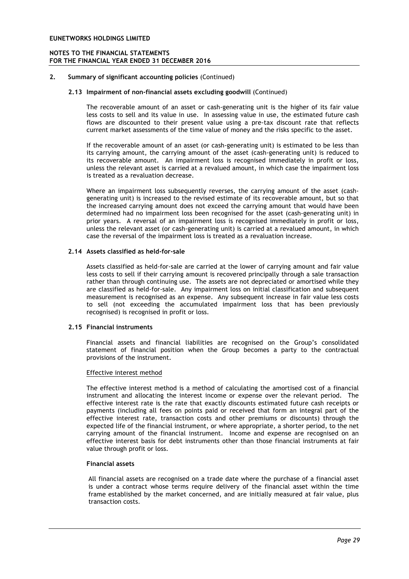### **NOTES TO THE FINANCIAL STATEMENTS FOR THE FINANCIAL YEAR ENDED 31 DECEMBER 2016**

#### **2. Summary of significant accounting policies** (Continued)

#### **2.13 Impairment of non-financial assets excluding goodwill** (Continued)

The recoverable amount of an asset or cash-generating unit is the higher of its fair value less costs to sell and its value in use. In assessing value in use, the estimated future cash flows are discounted to their present value using a pre-tax discount rate that reflects current market assessments of the time value of money and the risks specific to the asset.

If the recoverable amount of an asset (or cash-generating unit) is estimated to be less than its carrying amount, the carrying amount of the asset (cash-generating unit) is reduced to its recoverable amount. An impairment loss is recognised immediately in profit or loss, unless the relevant asset is carried at a revalued amount, in which case the impairment loss is treated as a revaluation decrease.

Where an impairment loss subsequently reverses, the carrying amount of the asset (cashgenerating unit) is increased to the revised estimate of its recoverable amount, but so that the increased carrying amount does not exceed the carrying amount that would have been determined had no impairment loss been recognised for the asset (cash-generating unit) in prior years. A reversal of an impairment loss is recognised immediately in profit or loss, unless the relevant asset (or cash-generating unit) is carried at a revalued amount, in which case the reversal of the impairment loss is treated as a revaluation increase.

### **2.14 Assets classified as held-for-sale**

Assets classified as held-for-sale are carried at the lower of carrying amount and fair value less costs to sell if their carrying amount is recovered principally through a sale transaction rather than through continuing use. The assets are not depreciated or amortised while they are classified as held-for-sale. Any impairment loss on initial classification and subsequent measurement is recognised as an expense. Any subsequent increase in fair value less costs to sell (not exceeding the accumulated impairment loss that has been previously recognised) is recognised in profit or loss.

# **2.15 Financial instruments**

Financial assets and financial liabilities are recognised on the Group's consolidated statement of financial position when the Group becomes a party to the contractual provisions of the instrument.

# Effective interest method

The effective interest method is a method of calculating the amortised cost of a financial instrument and allocating the interest income or expense over the relevant period. The effective interest rate is the rate that exactly discounts estimated future cash receipts or payments (including all fees on points paid or received that form an integral part of the effective interest rate, transaction costs and other premiums or discounts) through the expected life of the financial instrument, or where appropriate, a shorter period, to the net carrying amount of the financial instrument. Income and expense are recognised on an effective interest basis for debt instruments other than those financial instruments at fair value through profit or loss.

# **Financial assets**

All financial assets are recognised on a trade date where the purchase of a financial asset is under a contract whose terms require delivery of the financial asset within the time frame established by the market concerned, and are initially measured at fair value, plus transaction costs.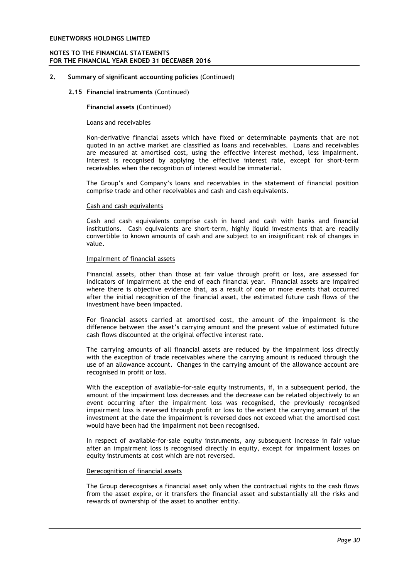# **NOTES TO THE FINANCIAL STATEMENTS FOR THE FINANCIAL YEAR ENDED 31 DECEMBER 2016**

#### **2. Summary of significant accounting policies** (Continued)

#### **2.15 Financial instruments** (Continued)

#### **Financial assets** (Continued)

#### Loans and receivables

Non-derivative financial assets which have fixed or determinable payments that are not quoted in an active market are classified as loans and receivables. Loans and receivables are measured at amortised cost, using the effective interest method, less impairment. Interest is recognised by applying the effective interest rate, except for short-term receivables when the recognition of interest would be immaterial.

The Group's and Company's loans and receivables in the statement of financial position comprise trade and other receivables and cash and cash equivalents.

#### Cash and cash equivalents

Cash and cash equivalents comprise cash in hand and cash with banks and financial institutions. Cash equivalents are short-term, highly liquid investments that are readily convertible to known amounts of cash and are subject to an insignificant risk of changes in value.

### Impairment of financial assets

Financial assets, other than those at fair value through profit or loss, are assessed for indicators of impairment at the end of each financial year. Financial assets are impaired where there is objective evidence that, as a result of one or more events that occurred after the initial recognition of the financial asset, the estimated future cash flows of the investment have been impacted.

For financial assets carried at amortised cost, the amount of the impairment is the difference between the asset's carrying amount and the present value of estimated future cash flows discounted at the original effective interest rate.

The carrying amounts of all financial assets are reduced by the impairment loss directly with the exception of trade receivables where the carrying amount is reduced through the use of an allowance account. Changes in the carrying amount of the allowance account are recognised in profit or loss.

With the exception of available-for-sale equity instruments, if, in a subsequent period, the amount of the impairment loss decreases and the decrease can be related objectively to an event occurring after the impairment loss was recognised, the previously recognised impairment loss is reversed through profit or loss to the extent the carrying amount of the investment at the date the impairment is reversed does not exceed what the amortised cost would have been had the impairment not been recognised.

In respect of available-for-sale equity instruments, any subsequent increase in fair value after an impairment loss is recognised directly in equity, except for impairment losses on equity instruments at cost which are not reversed.

# Derecognition of financial assets

The Group derecognises a financial asset only when the contractual rights to the cash flows from the asset expire, or it transfers the financial asset and substantially all the risks and rewards of ownership of the asset to another entity.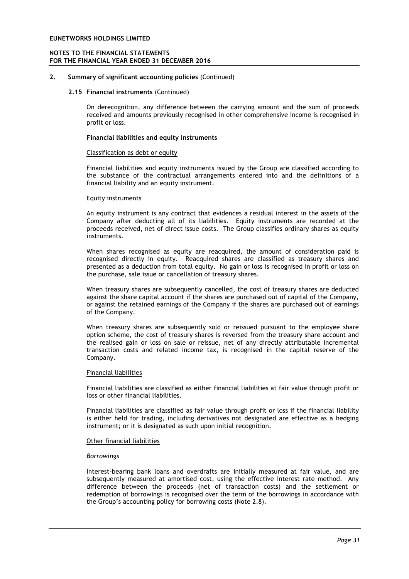### **NOTES TO THE FINANCIAL STATEMENTS FOR THE FINANCIAL YEAR ENDED 31 DECEMBER 2016**

#### **2. Summary of significant accounting policies** (Continued)

#### **2.15 Financial instruments** (Continued)

On derecognition, any difference between the carrying amount and the sum of proceeds received and amounts previously recognised in other comprehensive income is recognised in profit or loss.

#### **Financial liabilities and equity instruments**

#### Classification as debt or equity

Financial liabilities and equity instruments issued by the Group are classified according to the substance of the contractual arrangements entered into and the definitions of a financial liability and an equity instrument.

#### Equity instruments

An equity instrument is any contract that evidences a residual interest in the assets of the Company after deducting all of its liabilities. Equity instruments are recorded at the proceeds received, net of direct issue costs. The Group classifies ordinary shares as equity instruments.

When shares recognised as equity are reacquired, the amount of consideration paid is recognised directly in equity. Reacquired shares are classified as treasury shares and presented as a deduction from total equity. No gain or loss is recognised in profit or loss on the purchase, sale issue or cancellation of treasury shares.

When treasury shares are subsequently cancelled, the cost of treasury shares are deducted against the share capital account if the shares are purchased out of capital of the Company, or against the retained earnings of the Company if the shares are purchased out of earnings of the Company.

When treasury shares are subsequently sold or reissued pursuant to the employee share option scheme, the cost of treasury shares is reversed from the treasury share account and the realised gain or loss on sale or reissue, net of any directly attributable incremental transaction costs and related income tax, is recognised in the capital reserve of the Company.

# Financial liabilities

Financial liabilities are classified as either financial liabilities at fair value through profit or loss or other financial liabilities.

Financial liabilities are classified as fair value through profit or loss if the financial liability is either held for trading, including derivatives not designated are effective as a hedging instrument; or it is designated as such upon initial recognition.

#### Other financial liabilities

### *Borrowings*

Interest-bearing bank loans and overdrafts are initially measured at fair value, and are subsequently measured at amortised cost, using the effective interest rate method. Any difference between the proceeds (net of transaction costs) and the settlement or redemption of borrowings is recognised over the term of the borrowings in accordance with the Group's accounting policy for borrowing costs (Note 2.8).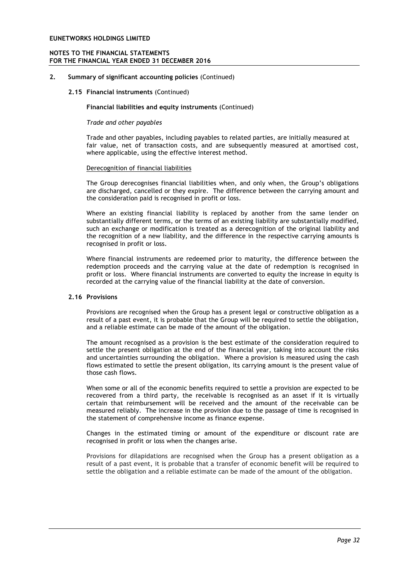# **NOTES TO THE FINANCIAL STATEMENTS FOR THE FINANCIAL YEAR ENDED 31 DECEMBER 2016**

# **2. Summary of significant accounting policies** (Continued)

### **2.15 Financial instruments** (Continued)

# **Financial liabilities and equity instruments** (Continued)

### *Trade and other payables*

Trade and other payables, including payables to related parties, are initially measured at fair value, net of transaction costs, and are subsequently measured at amortised cost, where applicable, using the effective interest method.

### Derecognition of financial liabilities

The Group derecognises financial liabilities when, and only when, the Group's obligations are discharged, cancelled or they expire. The difference between the carrying amount and the consideration paid is recognised in profit or loss.

Where an existing financial liability is replaced by another from the same lender on substantially different terms, or the terms of an existing liability are substantially modified, such an exchange or modification is treated as a derecognition of the original liability and the recognition of a new liability, and the difference in the respective carrying amounts is recognised in profit or loss.

Where financial instruments are redeemed prior to maturity, the difference between the redemption proceeds and the carrying value at the date of redemption is recognised in profit or loss. Where financial instruments are converted to equity the increase in equity is recorded at the carrying value of the financial liability at the date of conversion.

# **2.16 Provisions**

Provisions are recognised when the Group has a present legal or constructive obligation as a result of a past event, it is probable that the Group will be required to settle the obligation, and a reliable estimate can be made of the amount of the obligation.

The amount recognised as a provision is the best estimate of the consideration required to settle the present obligation at the end of the financial year, taking into account the risks and uncertainties surrounding the obligation. Where a provision is measured using the cash flows estimated to settle the present obligation, its carrying amount is the present value of those cash flows.

When some or all of the economic benefits required to settle a provision are expected to be recovered from a third party, the receivable is recognised as an asset if it is virtually certain that reimbursement will be received and the amount of the receivable can be measured reliably. The increase in the provision due to the passage of time is recognised in the statement of comprehensive income as finance expense.

Changes in the estimated timing or amount of the expenditure or discount rate are recognised in profit or loss when the changes arise.

Provisions for dilapidations are recognised when the Group has a present obligation as a result of a past event, it is probable that a transfer of economic benefit will be required to settle the obligation and a reliable estimate can be made of the amount of the obligation.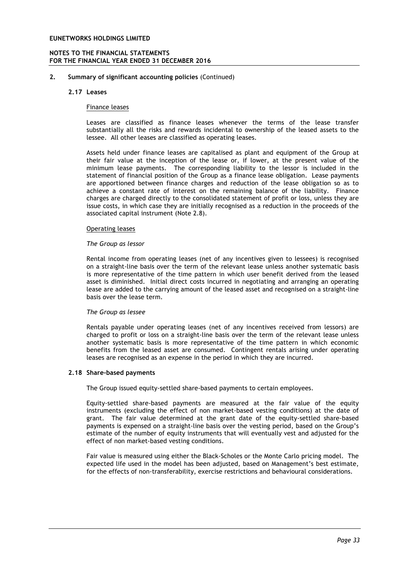### **NOTES TO THE FINANCIAL STATEMENTS FOR THE FINANCIAL YEAR ENDED 31 DECEMBER 2016**

#### **2. Summary of significant accounting policies** (Continued)

#### **2.17 Leases**

#### Finance leases

Leases are classified as finance leases whenever the terms of the lease transfer substantially all the risks and rewards incidental to ownership of the leased assets to the lessee. All other leases are classified as operating leases.

Assets held under finance leases are capitalised as plant and equipment of the Group at their fair value at the inception of the lease or, if lower, at the present value of the minimum lease payments. The corresponding liability to the lessor is included in the statement of financial position of the Group as a finance lease obligation. Lease payments are apportioned between finance charges and reduction of the lease obligation so as to achieve a constant rate of interest on the remaining balance of the liability. Finance charges are charged directly to the consolidated statement of profit or loss, unless they are issue costs, in which case they are initially recognised as a reduction in the proceeds of the associated capital instrument (Note 2.8).

#### Operating leases

#### *The Group as lessor*

Rental income from operating leases (net of any incentives given to lessees) is recognised on a straight-line basis over the term of the relevant lease unless another systematic basis is more representative of the time pattern in which user benefit derived from the leased asset is diminished. Initial direct costs incurred in negotiating and arranging an operating lease are added to the carrying amount of the leased asset and recognised on a straight-line basis over the lease term.

#### *The Group as lessee*

Rentals payable under operating leases (net of any incentives received from lessors) are charged to profit or loss on a straight-line basis over the term of the relevant lease unless another systematic basis is more representative of the time pattern in which economic benefits from the leased asset are consumed. Contingent rentals arising under operating leases are recognised as an expense in the period in which they are incurred.

#### **2.18 Share-based payments**

The Group issued equity-settled share-based payments to certain employees.

Equity-settled share-based payments are measured at the fair value of the equity instruments (excluding the effect of non market-based vesting conditions) at the date of grant. The fair value determined at the grant date of the equity-settled share-based payments is expensed on a straight-line basis over the vesting period, based on the Group's estimate of the number of equity instruments that will eventually vest and adjusted for the effect of non market-based vesting conditions.

Fair value is measured using either the Black-Scholes or the Monte Carlo pricing model. The expected life used in the model has been adjusted, based on Management's best estimate, for the effects of non-transferability, exercise restrictions and behavioural considerations.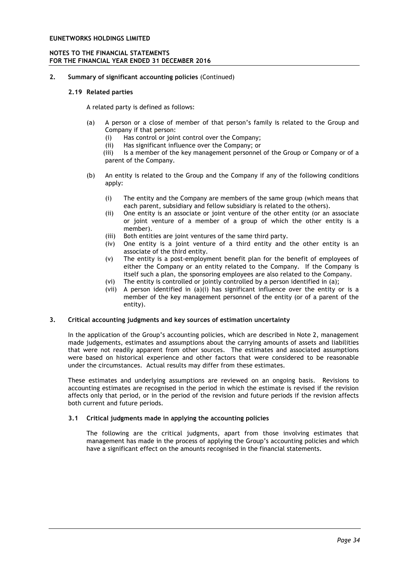# **NOTES TO THE FINANCIAL STATEMENTS FOR THE FINANCIAL YEAR ENDED 31 DECEMBER 2016**

**2. Summary of significant accounting policies** (Continued)

# **2.19 Related parties**

A related party is defined as follows:

- (a) A person or a close of member of that person's family is related to the Group and Company if that person:
	- (i) Has control or joint control over the Company;
	- (ii) Has significant influence over the Company; or

(iii) Is a member of the key management personnel of the Group or Company or of a parent of the Company.

- (b) An entity is related to the Group and the Company if any of the following conditions apply:
	- (i) The entity and the Company are members of the same group (which means that each parent, subsidiary and fellow subsidiary is related to the others).
	- (ii) One entity is an associate or joint venture of the other entity (or an associate or joint venture of a member of a group of which the other entity is a member).
	- (iii) Both entities are joint ventures of the same third party.
	- (iv) One entity is a joint venture of a third entity and the other entity is an associate of the third entity.
	- (v) The entity is a post-employment benefit plan for the benefit of employees of either the Company or an entity related to the Company. If the Company is itself such a plan, the sponsoring employees are also related to the Company.
	- (vi) The entity is controlled or jointly controlled by a person identified in (a);
	- (vii) A person identified in (a)(i) has significant influence over the entity or is a member of the key management personnel of the entity (or of a parent of the entity).

# **3. Critical accounting judgments and key sources of estimation uncertainty**

In the application of the Group's accounting policies, which are described in Note 2, management made judgements, estimates and assumptions about the carrying amounts of assets and liabilities that were not readily apparent from other sources. The estimates and associated assumptions were based on historical experience and other factors that were considered to be reasonable under the circumstances. Actual results may differ from these estimates.

These estimates and underlying assumptions are reviewed on an ongoing basis. Revisions to accounting estimates are recognised in the period in which the estimate is revised if the revision affects only that period, or in the period of the revision and future periods if the revision affects both current and future periods.

### **3.1 Critical judgments made in applying the accounting policies**

The following are the critical judgments, apart from those involving estimates that management has made in the process of applying the Group's accounting policies and which have a significant effect on the amounts recognised in the financial statements.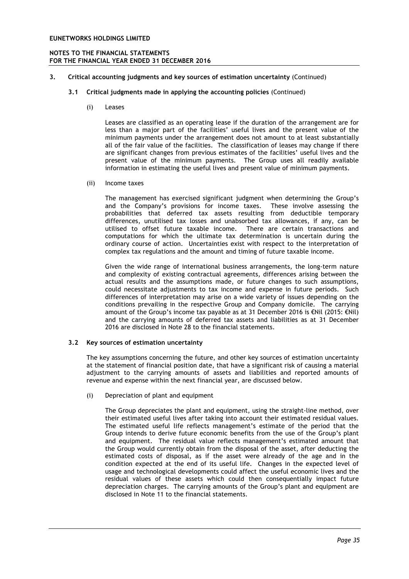# **NOTES TO THE FINANCIAL STATEMENTS FOR THE FINANCIAL YEAR ENDED 31 DECEMBER 2016**

- **3. Critical accounting judgments and key sources of estimation uncertainty** (Continued)
	- **3.1 Critical judgments made in applying the accounting policies** (Continued)
		- (i) Leases

Leases are classified as an operating lease if the duration of the arrangement are for less than a major part of the facilities' useful lives and the present value of the minimum payments under the arrangement does not amount to at least substantially all of the fair value of the facilities. The classification of leases may change if there are significant changes from previous estimates of the facilities' useful lives and the present value of the minimum payments. The Group uses all readily available information in estimating the useful lives and present value of minimum payments.

(ii) Income taxes

The management has exercised significant judgment when determining the Group's and the Company's provisions for income taxes. These involve assessing the probabilities that deferred tax assets resulting from deductible temporary differences, unutilised tax losses and unabsorbed tax allowances, if any, can be utilised to offset future taxable income. There are certain transactions and computations for which the ultimate tax determination is uncertain during the ordinary course of action. Uncertainties exist with respect to the interpretation of complex tax regulations and the amount and timing of future taxable income.

Given the wide range of international business arrangements, the long-term nature and complexity of existing contractual agreements, differences arising between the actual results and the assumptions made, or future changes to such assumptions, could necessitate adjustments to tax income and expense in future periods. Such differences of interpretation may arise on a wide variety of issues depending on the conditions prevailing in the respective Group and Company domicile. The carrying amount of the Group's income tax payable as at 31 December 2016 is €Nil (2015: €Nil) and the carrying amounts of deferred tax assets and liabilities as at 31 December 2016 are disclosed in Note 28 to the financial statements.

# **3.2 Key sources of estimation uncertainty**

The key assumptions concerning the future, and other key sources of estimation uncertainty at the statement of financial position date, that have a significant risk of causing a material adjustment to the carrying amounts of assets and liabilities and reported amounts of revenue and expense within the next financial year, are discussed below.

(i) Depreciation of plant and equipment

The Group depreciates the plant and equipment, using the straight-line method, over their estimated useful lives after taking into account their estimated residual values. The estimated useful life reflects management's estimate of the period that the Group intends to derive future economic benefits from the use of the Group's plant and equipment. The residual value reflects management's estimated amount that the Group would currently obtain from the disposal of the asset, after deducting the estimated costs of disposal, as if the asset were already of the age and in the condition expected at the end of its useful life. Changes in the expected level of usage and technological developments could affect the useful economic lives and the residual values of these assets which could then consequentially impact future depreciation charges. The carrying amounts of the Group's plant and equipment are disclosed in Note 11 to the financial statements.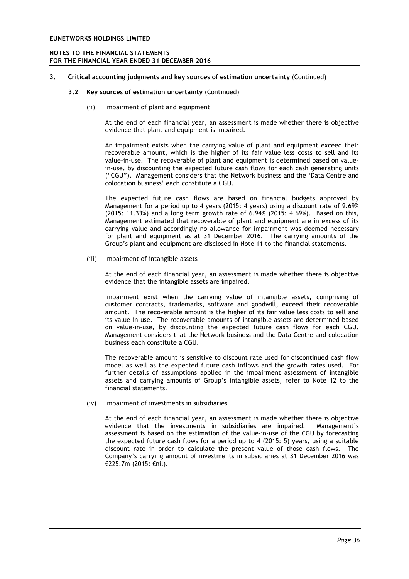# **NOTES TO THE FINANCIAL STATEMENTS FOR THE FINANCIAL YEAR ENDED 31 DECEMBER 2016**

### **3. Critical accounting judgments and key sources of estimation uncertainty** (Continued)

#### **3.2 Key sources of estimation uncertainty** (Continued)

(ii) Impairment of plant and equipment

At the end of each financial year, an assessment is made whether there is objective evidence that plant and equipment is impaired.

An impairment exists when the carrying value of plant and equipment exceed their recoverable amount, which is the higher of its fair value less costs to sell and its value-in-use. The recoverable of plant and equipment is determined based on valuein-use, by discounting the expected future cash flows for each cash generating units ("CGU"). Management considers that the Network business and the 'Data Centre and colocation business' each constitute a CGU.

The expected future cash flows are based on financial budgets approved by Management for a period up to 4 years (2015: 4 years) using a discount rate of 9.69% (2015: 11.33%) and a long term growth rate of 6.94% (2015: 4.69%). Based on this, Management estimated that recoverable of plant and equipment are in excess of its carrying value and accordingly no allowance for impairment was deemed necessary for plant and equipment as at 31 December 2016. The carrying amounts of the Group's plant and equipment are disclosed in Note 11 to the financial statements.

(iii) Impairment of intangible assets

At the end of each financial year, an assessment is made whether there is objective evidence that the intangible assets are impaired.

Impairment exist when the carrying value of intangible assets, comprising of customer contracts, trademarks, software and goodwill, exceed their recoverable amount. The recoverable amount is the higher of its fair value less costs to sell and its value-in-use. The recoverable amounts of intangible assets are determined based on value-in-use, by discounting the expected future cash flows for each CGU. Management considers that the Network business and the Data Centre and colocation business each constitute a CGU.

The recoverable amount is sensitive to discount rate used for discontinued cash flow model as well as the expected future cash inflows and the growth rates used. For further details of assumptions applied in the impairment assessment of intangible assets and carrying amounts of Group's intangible assets, refer to Note 12 to the financial statements.

(iv) Impairment of investments in subsidiaries

At the end of each financial year, an assessment is made whether there is objective evidence that the investments in subsidiaries are impaired. Management's assessment is based on the estimation of the value-in-use of the CGU by forecasting the expected future cash flows for a period up to 4 (2015: 5) years, using a suitable discount rate in order to calculate the present value of those cash flows. The Company's carrying amount of investments in subsidiaries at 31 December 2016 was €225.7m (2015: €nil).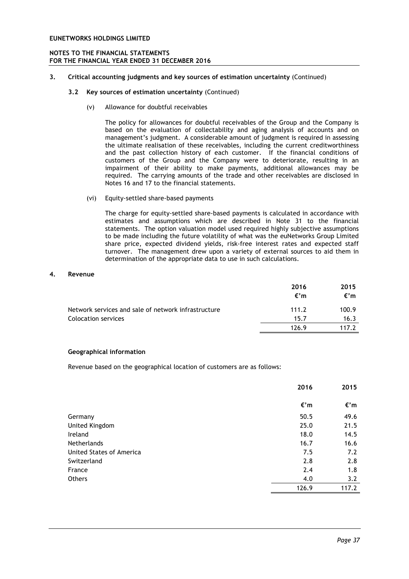# **NOTES TO THE FINANCIAL STATEMENTS FOR THE FINANCIAL YEAR ENDED 31 DECEMBER 2016**

### **3. Critical accounting judgments and key sources of estimation uncertainty** (Continued)

### **3.2 Key sources of estimation uncertainty** (Continued)

(v) Allowance for doubtful receivables

The policy for allowances for doubtful receivables of the Group and the Company is based on the evaluation of collectability and aging analysis of accounts and on management's judgment. A considerable amount of judgment is required in assessing the ultimate realisation of these receivables, including the current creditworthiness and the past collection history of each customer. If the financial conditions of customers of the Group and the Company were to deteriorate, resulting in an impairment of their ability to make payments, additional allowances may be required. The carrying amounts of the trade and other receivables are disclosed in Notes 16 and 17 to the financial statements.

(vi) Equity-settled share-based payments

The charge for equity-settled share-based payments is calculated in accordance with estimates and assumptions which are described in Note 31 to the financial statements. The option valuation model used required highly subjective assumptions to be made including the future volatility of what was the euNetworks Group Limited share price, expected dividend yields, risk-free interest rates and expected staff turnover. The management drew upon a variety of external sources to aid them in determination of the appropriate data to use in such calculations.

### **4. Revenue**

|                                                     | 2016  | 2015  |
|-----------------------------------------------------|-------|-------|
|                                                     | €'m   | €'m   |
| Network services and sale of network infrastructure | 111.2 | 100.9 |
| Colocation services                                 | 15.7  | 16.3  |
|                                                     | 126.9 | 117.2 |

# **Geographical information**

Revenue based on the geographical location of customers are as follows:

|                          | 2016  | 2015  |
|--------------------------|-------|-------|
|                          | €'m   | €'m   |
| Germany                  | 50.5  | 49.6  |
| United Kingdom           | 25.0  | 21.5  |
| Ireland                  | 18.0  | 14.5  |
| Netherlands              | 16.7  | 16.6  |
| United States of America | 7.5   | 7.2   |
| Switzerland              | 2.8   | 2.8   |
| France                   | 2.4   | 1.8   |
| Others                   | 4.0   | 3.2   |
|                          | 126.9 | 117.2 |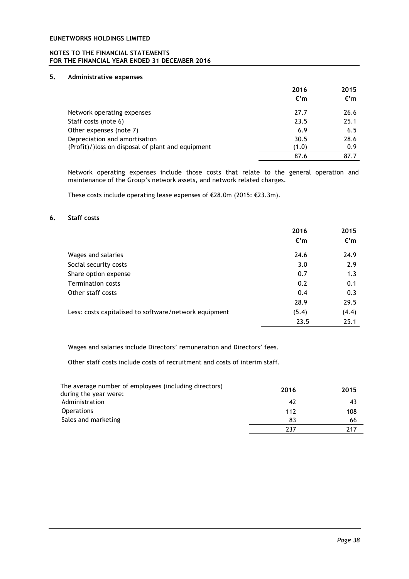# **NOTES TO THE FINANCIAL STATEMENTS FOR THE FINANCIAL YEAR ENDED 31 DECEMBER 2016**

# **5. Administrative expenses**

|                                                    | 2016<br>€'m | 2015<br>€'m |
|----------------------------------------------------|-------------|-------------|
|                                                    |             |             |
| Network operating expenses                         | 27.7        | 26.6        |
| Staff costs (note 6)                               | 23.5        | 25.1        |
| Other expenses (note 7)                            | 6.9         | 6.5         |
| Depreciation and amortisation                      | 30.5        | 28.6        |
| (Profit)/) loss on disposal of plant and equipment | (1.0)       | 0.9         |
|                                                    | 87.6        | 87.7        |

Network operating expenses include those costs that relate to the general operation and maintenance of the Group's network assets, and network related charges.

These costs include operating lease expenses of €28.0m (2015: €23.3m).

# **6. Staff costs**

|                                                       | 2016<br>€'m | 2015<br>€'m |
|-------------------------------------------------------|-------------|-------------|
| Wages and salaries                                    | 24.6        | 24.9        |
| Social security costs                                 | 3.0         | 2.9         |
| Share option expense                                  | 0.7         | 1.3         |
| <b>Termination costs</b>                              | 0.2         | 0.1         |
| Other staff costs                                     | 0.4         | 0.3         |
|                                                       | 28.9        | 29.5        |
| Less: costs capitalised to software/network equipment | (5.4)       | (4.4)       |
|                                                       | 23.5        | 25.1        |

Wages and salaries include Directors' remuneration and Directors' fees.

Other staff costs include costs of recruitment and costs of interim staff.

| The average number of employees (including directors) | 2016 | 2015 |
|-------------------------------------------------------|------|------|
| during the year were:                                 |      |      |
| Administration                                        | 42   | 43   |
| <b>Operations</b>                                     | 112  | 108  |
| Sales and marketing                                   | 83   | 66   |
|                                                       | 237  | 717  |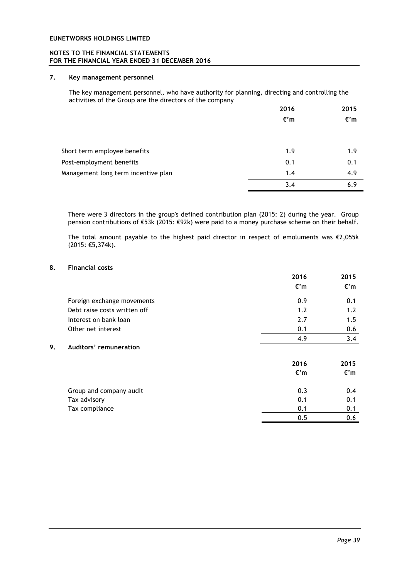# **NOTES TO THE FINANCIAL STATEMENTS FOR THE FINANCIAL YEAR ENDED 31 DECEMBER 2016**

# **7. Key management personnel**

The key management personnel, who have authority for planning, directing and controlling the activities of the Group are the directors of the company

|                                     | 2016 | 2015 |  |
|-------------------------------------|------|------|--|
|                                     | €'m  | €'m  |  |
| Short term employee benefits        | 1.9  | 1.9  |  |
| Post-employment benefits            | 0.1  | 0.1  |  |
| Management long term incentive plan | 1.4  | 4.9  |  |
|                                     | 3.4  | 6.9  |  |

There were 3 directors in the group's defined contribution plan (2015: 2) during the year. Group pension contributions of €53k (2015: €92k) were paid to a money purchase scheme on their behalf.

The total amount payable to the highest paid director in respect of emoluments was €2,055k (2015: €5,374k).

# **8. Financial costs**

|                              | 2016 | 2015 |
|------------------------------|------|------|
|                              | €'m  | €'m  |
| Foreign exchange movements   | 0.9  | 0.1  |
| Debt raise costs written off | 1.2  | 1.2  |
| Interest on bank loan        | 2.7  | 1.5  |
| Other net interest           | 0.1  | 0.6  |
|                              | 4.9  | 3.4  |

# **9. Auditors' remuneration**

|                         | 2016<br>€'m | 2015<br>€'m |
|-------------------------|-------------|-------------|
| Group and company audit | 0.3         | 0.4         |
| Tax advisory            | 0.1         | 0.1         |
| Tax compliance          | 0.1         | 0.1         |
|                         | 0.5         | 0.6         |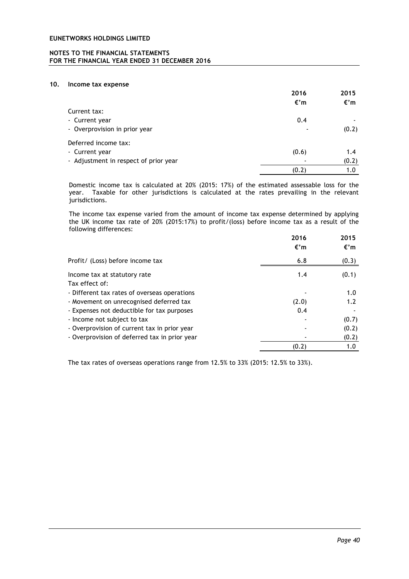# **10. Income tax expense**

|                                       | 2016           | 2015  |
|---------------------------------------|----------------|-------|
|                                       | €'m            | €'m   |
| Current tax:                          |                |       |
| - Current year                        | 0.4            |       |
| - Overprovision in prior year         | $\blacksquare$ | (0.2) |
| Deferred income tax:                  |                |       |
| - Current year                        | (0.6)          | 1.4   |
| - Adjustment in respect of prior year |                | (0.2) |
|                                       | (0.2)          | 1.0   |

Domestic income tax is calculated at 20% (2015: 17%) of the estimated assessable loss for the year. Taxable for other jurisdictions is calculated at the rates prevailing in the relevant jurisdictions.

The income tax expense varied from the amount of income tax expense determined by applying the UK income tax rate of 20% (2015:17%) to profit/(loss) before income tax as a result of the following differences:

|                                               | 2016<br>€'m | 2015<br>€'m |
|-----------------------------------------------|-------------|-------------|
| Profit/ (Loss) before income tax              | 6.8         | (0.3)       |
| Income tax at statutory rate                  | 1.4         | (0.1)       |
| Tax effect of:                                |             |             |
| - Different tax rates of overseas operations  |             | 1.0         |
| - Movement on unrecognised deferred tax       | (2.0)       | 1.2         |
| - Expenses not deductible for tax purposes    | 0.4         |             |
| - Income not subject to tax                   |             | (0.7)       |
| - Overprovision of current tax in prior year  |             | (0.2)       |
| - Overprovision of deferred tax in prior year |             | (0.2)       |
|                                               | (0.2)       | 1.0         |

The tax rates of overseas operations range from 12.5% to 33% (2015: 12.5% to 33%).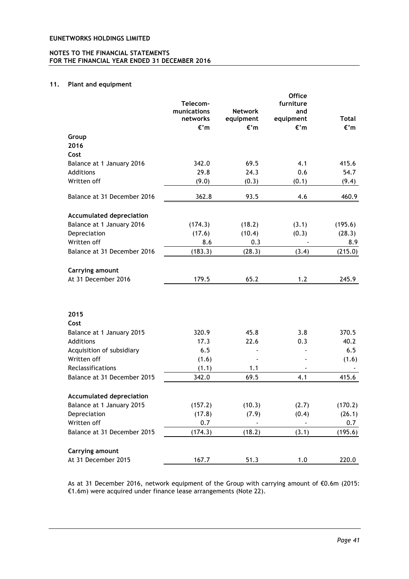# **11. Plant and equipment**

|                                 | Telecom-<br>munications | <b>Network</b> | <b>Office</b><br>furniture<br>and |         |
|---------------------------------|-------------------------|----------------|-----------------------------------|---------|
|                                 | networks                | equipment      | equipment                         | Total   |
|                                 | €'m                     | €'m            | €'m                               | €'m     |
| Group<br>2016                   |                         |                |                                   |         |
| Cost                            |                         |                |                                   |         |
| Balance at 1 January 2016       | 342.0                   | 69.5           | 4.1                               | 415.6   |
| Additions                       | 29.8                    | 24.3           | 0.6                               | 54.7    |
| Written off                     | (9.0)                   | (0.3)          | (0.1)                             | (9.4)   |
| Balance at 31 December 2016     | 362.8                   | 93.5           | 4.6                               | 460.9   |
| <b>Accumulated depreciation</b> |                         |                |                                   |         |
| Balance at 1 January 2016       | (174.3)                 | (18.2)         | (3.1)                             | (195.6) |
| Depreciation                    | (17.6)                  | (10.4)         | (0.3)                             | (28.3)  |
| Written off                     | 8.6                     | 0.3            |                                   | 8.9     |
| Balance at 31 December 2016     | (183.3)                 | (28.3)         | (3.4)                             | (215.0) |
| Carrying amount                 |                         |                |                                   |         |
| At 31 December 2016             | 179.5                   | 65.2           | 1.2                               | 245.9   |
|                                 |                         |                |                                   |         |
| 2015<br>Cost                    |                         |                |                                   |         |
| Balance at 1 January 2015       | 320.9                   | 45.8           | 3.8                               | 370.5   |
| Additions                       | 17.3                    | 22.6           | 0.3                               | 40.2    |
| Acquisition of subsidiary       | 6.5                     |                |                                   | 6.5     |
| Written off                     | (1.6)                   |                |                                   | (1.6)   |
| Reclassifications               | (1.1)                   | 1.1            |                                   |         |
| Balance at 31 December 2015     | 342.0                   | 69.5           | 4.1                               | 415.6   |
| <b>Accumulated depreciation</b> |                         |                |                                   |         |
| Balance at 1 January 2015       | (157.2)                 | (10.3)         | (2.7)                             | (170.2) |
| Depreciation                    | (17.8)                  | (7.9)          | (0.4)                             | (26.1)  |
| Written off                     | 0.7                     |                | ÷,                                | 0.7     |
| Balance at 31 December 2015     | (174.3)                 | (18.2)         | (3.1)                             | (195.6) |
| <b>Carrying amount</b>          |                         |                |                                   |         |
| At 31 December 2015             | 167.7                   | 51.3           | 1.0                               | 220.0   |

As at 31 December 2016, network equipment of the Group with carrying amount of €0.6m (2015: €1.6m) were acquired under finance lease arrangements (Note 22).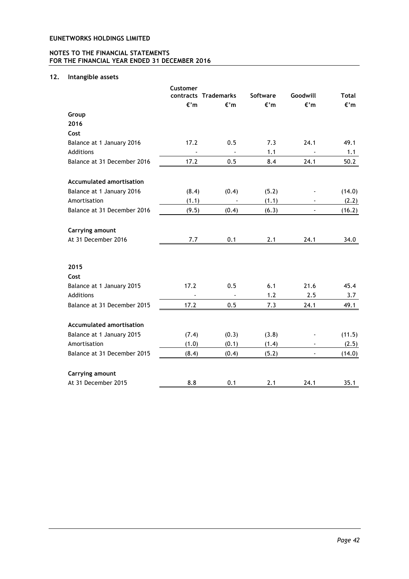# **12. Intangible assets**

|                                 | Customer | contracts Trademarks | Software | Goodwill         | <b>Total</b> |
|---------------------------------|----------|----------------------|----------|------------------|--------------|
|                                 | €'m      | €'m                  | €'m      | $\varepsilon$ 'm | €'m          |
| Group                           |          |                      |          |                  |              |
| 2016                            |          |                      |          |                  |              |
| Cost                            |          |                      |          |                  |              |
| Balance at 1 January 2016       | 17.2     | 0.5                  | 7.3      | 24.1             | 49.1         |
| Additions                       |          |                      | 1.1      |                  | 1.1          |
| Balance at 31 December 2016     | 17.2     | 0.5                  | 8.4      | 24.1             | 50.2         |
| <b>Accumulated amortisation</b> |          |                      |          |                  |              |
| Balance at 1 January 2016       | (8.4)    | (0.4)                | (5.2)    |                  | (14.0)       |
| Amortisation                    | (1.1)    |                      | (1.1)    |                  | (2.2)        |
| Balance at 31 December 2016     | (9.5)    | (0.4)                | (6.3)    |                  | (16.2)       |
| Carrying amount                 |          |                      |          |                  |              |
| At 31 December 2016             | 7.7      | 0.1                  | 2.1      | 24.1             | 34.0         |
|                                 |          |                      |          |                  |              |
| 2015                            |          |                      |          |                  |              |
| Cost                            |          |                      |          |                  |              |
| Balance at 1 January 2015       | 17.2     | 0.5                  | 6.1      | 21.6             | 45.4         |
| Additions                       |          |                      | 1.2      | 2.5              | 3.7          |
| Balance at 31 December 2015     | 17.2     | 0.5                  | 7.3      | 24.1             | 49.1         |
| <b>Accumulated amortisation</b> |          |                      |          |                  |              |
| Balance at 1 January 2015       | (7.4)    | (0.3)                | (3.8)    |                  | (11.5)       |
| Amortisation                    | (1.0)    | (0.1)                | (1.4)    |                  | (2.5)        |
| Balance at 31 December 2015     | (8.4)    | (0.4)                | (5.2)    |                  | (14.0)       |
| Carrying amount                 |          |                      |          |                  |              |
| At 31 December 2015             | 8.8      | 0.1                  | 2.1      | 24.1             | 35.1         |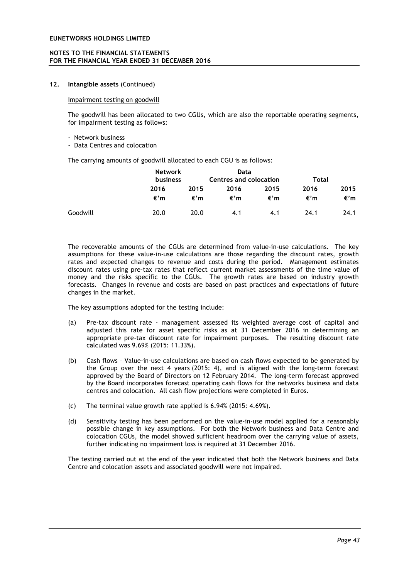# **NOTES TO THE FINANCIAL STATEMENTS FOR THE FINANCIAL YEAR ENDED 31 DECEMBER 2016**

### **12. Intangible assets** (Continued)

#### Impairment testing on goodwill

The goodwill has been allocated to two CGUs, which are also the reportable operating segments, for impairment testing as follows:

- Network business
- Data Centres and colocation

The carrying amounts of goodwill allocated to each CGU is as follows:

|          | <b>Network</b><br><b>business</b> |             | Data<br><b>Centres and colocation</b> |             | <b>Total</b> |             |
|----------|-----------------------------------|-------------|---------------------------------------|-------------|--------------|-------------|
|          | 2016<br>€'m                       | 2015<br>€'m | 2016<br>€'m                           | 2015<br>€'m | 2016<br>€'m  | 2015<br>€'m |
| Goodwill | 20.0                              | 20.0        | 4.1                                   | 4.1         | 24.1         | 24.1        |

The recoverable amounts of the CGUs are determined from value-in-use calculations. The key assumptions for these value-in-use calculations are those regarding the discount rates, growth rates and expected changes to revenue and costs during the period. Management estimates discount rates using pre-tax rates that reflect current market assessments of the time value of money and the risks specific to the CGUs. The growth rates are based on industry growth forecasts. Changes in revenue and costs are based on past practices and expectations of future changes in the market.

The key assumptions adopted for the testing include:

- (a) Pre-tax discount rate management assessed its weighted average cost of capital and adjusted this rate for asset specific risks as at 31 December 2016 in determining an appropriate pre-tax discount rate for impairment purposes. The resulting discount rate calculated was 9.69% (2015: 11.33%).
- (b) Cash flows Value-in-use calculations are based on cash flows expected to be generated by the Group over the next 4 years (2015: 4), and is aligned with the long-term forecast approved by the Board of Directors on 12 February 2014. The long-term forecast approved by the Board incorporates forecast operating cash flows for the networks business and data centres and colocation. All cash flow projections were completed in Euros.
- (c) The terminal value growth rate applied is 6.94% (2015: 4.69%).
- (d) Sensitivity testing has been performed on the value-in-use model applied for a reasonably possible change in key assumptions. For both the Network business and Data Centre and colocation CGUs, the model showed sufficient headroom over the carrying value of assets, further indicating no impairment loss is required at 31 December 2016.

The testing carried out at the end of the year indicated that both the Network business and Data Centre and colocation assets and associated goodwill were not impaired.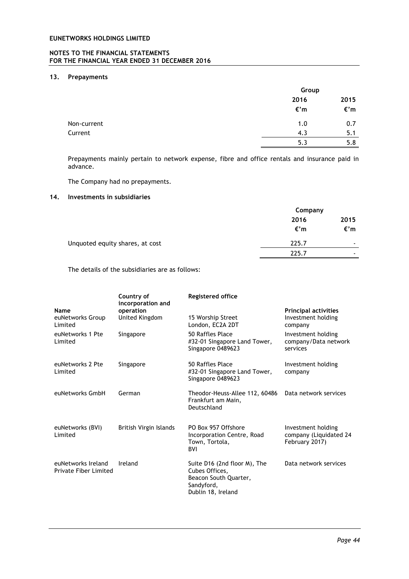# **13. Prepayments**

|             | Group |      |
|-------------|-------|------|
|             | 2016  | 2015 |
|             | €'m   | €'m  |
| Non-current | 1.0   | 0.7  |
| Current     | 4.3   | 5.1  |
|             | 5.3   | 5.8  |

Prepayments mainly pertain to network expense, fibre and office rentals and insurance paid in advance.

The Company had no prepayments.

# **14. Investments in subsidiaries**

|                                 | Company |                |
|---------------------------------|---------|----------------|
|                                 | 2016    | 2015           |
|                                 | €'m     | €'m            |
| Unquoted equity shares, at cost | 225.7   | $\blacksquare$ |
|                                 | 225.7   | $\sim$         |

The details of the subsidiaries are as follows:

|                                                    | Country of<br>incorporation and | Registered office                                                                                           |                                                                |
|----------------------------------------------------|---------------------------------|-------------------------------------------------------------------------------------------------------------|----------------------------------------------------------------|
| Name<br>euNetworks Group<br>Limited                | operation<br>United Kingdom     | 15 Worship Street<br>London, EC2A 2DT                                                                       | <b>Principal activities</b><br>Investment holding<br>company   |
| euNetworks 1 Pte<br>Limited                        | Singapore                       | 50 Raffles Place<br>#32-01 Singapore Land Tower,<br>Singapore 0489623                                       | Investment holding<br>company/Data network<br>services         |
| euNetworks 2 Pte<br>Limited                        | Singapore                       | 50 Raffles Place<br>#32-01 Singapore Land Tower,<br>Singapore 0489623                                       | Investment holding<br>company                                  |
| euNetworks GmbH                                    | German                          | Theodor-Heuss-Allee 112, 60486<br>Frankfurt am Main,<br>Deutschland                                         | Data network services                                          |
| euNetworks (BVI)<br>Limited                        | British Virgin Islands          | PO Box 957 Offshore<br>Incorporation Centre, Road<br>Town, Tortola,<br>BVI                                  | Investment holding<br>company (Liquidated 24<br>February 2017) |
| euNetworks Ireland<br><b>Private Fiber Limited</b> | Ireland                         | Suite D16 (2nd floor M), The<br>Cubes Offices,<br>Beacon South Quarter,<br>Sandyford,<br>Dublin 18, Ireland | Data network services                                          |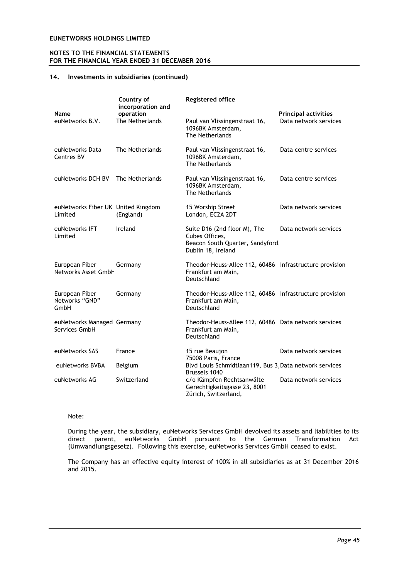# **14. Investments in subsidiaries (continued)**

|                                               | Country of<br>incorporation and | Registered office                                                                                        |                                               |
|-----------------------------------------------|---------------------------------|----------------------------------------------------------------------------------------------------------|-----------------------------------------------|
| Name<br>euNetworks B.V.                       | operation<br>The Netherlands    | Paul van Vlissingenstraat 16,<br>1096BK Amsterdam,<br>The Netherlands                                    | Principal activities<br>Data network services |
| euNetworks Data<br>Centres BV                 | The Netherlands                 | Paul van Vlissingenstraat 16,<br>1096BK Amsterdam,<br>The Netherlands                                    | Data centre services                          |
| euNetworks DCH BV                             | The Netherlands                 | Paul van Vlissingenstraat 16,<br>1096BK Amsterdam,<br>The Netherlands                                    | Data centre services                          |
| euNetworks Fiber UK United Kingdom<br>Limited | (England)                       | 15 Worship Street<br>London, EC2A 2DT                                                                    | Data network services                         |
| euNetworks IFT<br>Limited                     | Ireland                         | Suite D16 (2nd floor M), The<br>Cubes Offices,<br>Beacon South Quarter, Sandyford,<br>Dublin 18, Ireland | Data network services                         |
| European Fiber<br>Networks Asset GmbH         | Germany                         | Theodor-Heuss-Allee 112, 60486 Infrastructure provision<br>Frankfurt am Main,<br>Deutschland             |                                               |
| European Fiber<br>Networks "GND"<br>GmbH      | Germany                         | Theodor-Heuss-Allee 112, 60486 Infrastructure provision<br>Frankfurt am Main,<br>Deutschland             |                                               |
| euNetworks Managed Germany<br>Services GmbH   |                                 | Theodor-Heuss-Allee 112, 60486 Data network services<br>Frankfurt am Main,<br>Deutschland                |                                               |
| euNetworks SAS                                | France                          | 15 rue Beaujon<br>75008 Paris, France                                                                    | Data network services                         |
| euNetworks BVBA                               | <b>Belgium</b>                  | Blvd Louis Schmidtlaan119, Bus 3, Data network services<br>Brussels 1040                                 |                                               |
| euNetworks AG                                 | Switzerland                     | c/o Kämpfen Rechtsanwälte<br>Gerechtigkeitsgasse 23, 8001<br>Zürich, Switzerland,                        | Data network services                         |

Note:

During the year, the subsidiary, euNetworks Services GmbH devolved its assets and liabilities to its direct parent, euNetworks GmbH pursuant to the German Transformation Act (Umwandlungsgesetz). Following this exercise, euNetworks Services GmbH ceased to exist.

The Company has an effective equity interest of 100% in all subsidiaries as at 31 December 2016 and 2015.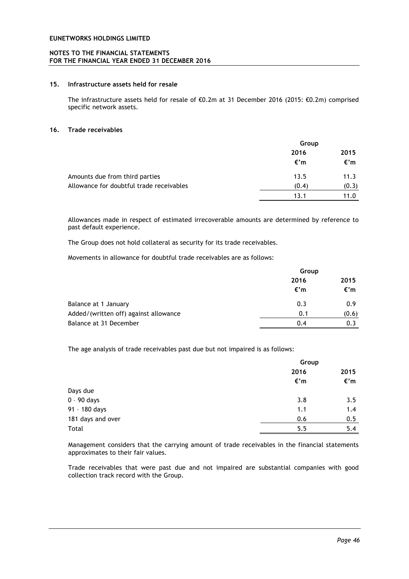# **NOTES TO THE FINANCIAL STATEMENTS FOR THE FINANCIAL YEAR ENDED 31 DECEMBER 2016**

### **15. Infrastructure assets held for resale**

The infrastructure assets held for resale of €0.2m at 31 December 2016 (2015: €0.2m) comprised specific network assets.

# **16. Trade receivables**

|                                          | Group |       |
|------------------------------------------|-------|-------|
|                                          | 2016  | 2015  |
|                                          | €'m   | €'m   |
| Amounts due from third parties           | 13.5  | 11.3  |
| Allowance for doubtful trade receivables | (0.4) | (0.3) |
|                                          | 13.1  | 11.0  |

Allowances made in respect of estimated irrecoverable amounts are determined by reference to past default experience.

The Group does not hold collateral as security for its trade receivables.

Movements in allowance for doubtful trade receivables are as follows:

|                                       | Group |       |
|---------------------------------------|-------|-------|
|                                       | 2016  | 2015  |
|                                       | €'m   | €'m   |
| Balance at 1 January                  | 0.3   | 0.9   |
| Added/(written off) against allowance | 0.1   | (0.6) |
| Balance at 31 December                | 0.4   | 0.3   |

The age analysis of trade receivables past due but not impaired is as follows:

|                   | Group |      |
|-------------------|-------|------|
|                   | 2016  | 2015 |
|                   | €'m   | €'m  |
| Days due          |       |      |
| $0 - 90$ days     | 3.8   | 3.5  |
| 91 - 180 days     | 1.1   | 1.4  |
| 181 days and over | 0.6   | 0.5  |
| Total             | 5.5   | 5.4  |

Management considers that the carrying amount of trade receivables in the financial statements approximates to their fair values.

Trade receivables that were past due and not impaired are substantial companies with good collection track record with the Group.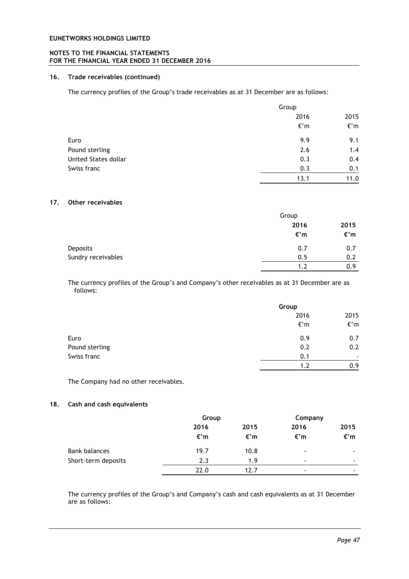# **NOTES TO THE FINANCIAL STATEMENTS FOR THE FINANCIAL YEAR ENDED 31 DECEMBER 2016**

### **16. Trade receivables (continued)**

The currency profiles of the Group's trade receivables as at 31 December are as follows:

|                      | Group            |      |
|----------------------|------------------|------|
|                      | 2016             | 2015 |
|                      | $\varepsilon$ 'm | €'m  |
| Euro                 | 9.9              | 9.1  |
| Pound sterling       | 2.6              | 1.4  |
| United States dollar | 0.3              | 0.4  |
| Swiss franc          | 0.3              | 0.1  |
|                      | 13.1             | 11.0 |

# **17. Other receivables**

|                    | Group        |     |
|--------------------|--------------|-----|
|                    | 2016<br>2015 |     |
|                    | €'m          | €'m |
| Deposits           | 0.7          | 0.7 |
| Sundry receivables | 0.5          | 0.2 |
|                    | 1.2          | 0.9 |

The currency profiles of the Group's and Company's other receivables as at 31 December are as follows:

|                | Group            |                  |
|----------------|------------------|------------------|
|                | 2016             | 2015             |
|                | $\varepsilon$ 'm | $\varepsilon$ 'm |
| Euro           | 0.9              | 0.7              |
| Pound sterling | 0.2              | 0.2              |
| Swiss franc    | 0.1              | $\blacksquare$   |
|                | 1.2              | 0.9              |

The Company had no other receivables.

# **18. Cash and cash equivalents**

|                      | Group |      | Company                  |                |
|----------------------|-------|------|--------------------------|----------------|
|                      | 2016  | 2015 | 2016                     | 2015           |
|                      | €'m   | €'m  | €'m                      | €'m            |
| <b>Bank balances</b> | 19.7  | 10.8 | $\overline{\phantom{0}}$ |                |
| Short-term deposits  | 2.3   | 1.9  | $\overline{\phantom{0}}$ | $\blacksquare$ |
|                      | 22.0  | 12.7 | $\overline{\phantom{0}}$ | $\blacksquare$ |

The currency profiles of the Group's and Company's cash and cash equivalents as at 31 December are as follows: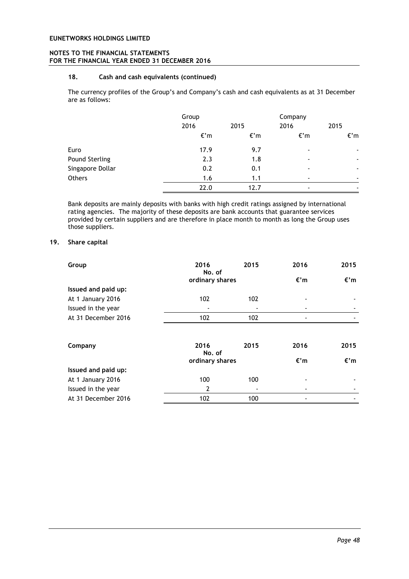# **18. Cash and cash equivalents (continued)**

The currency profiles of the Group's and Company's cash and cash equivalents as at 31 December are as follows:

|                  | Group<br>2016    | 2015 | Company<br>2016          | 2015 |
|------------------|------------------|------|--------------------------|------|
|                  | $\varepsilon$ 'm | €'m  | €'m                      | €'m  |
| Euro             | 17.9             | 9.7  | $\blacksquare$           |      |
| Pound Sterling   | 2.3              | 1.8  | $\overline{\phantom{0}}$ |      |
| Singapore Dollar | 0.2              | 0.1  | $\blacksquare$           |      |
| <b>Others</b>    | 1.6              | 1.1  | $\blacksquare$           |      |
|                  | 22.0             | 12.7 | $\overline{\phantom{0}}$ |      |

Bank deposits are mainly deposits with banks with high credit ratings assigned by international rating agencies. The majority of these deposits are bank accounts that guarantee services provided by certain suppliers and are therefore in place month to month as long the Group uses those suppliers.

# **19. Share capital**

| Group               | 2016<br>No. of  | 2015 | 2016 | 2015 |
|---------------------|-----------------|------|------|------|
|                     | ordinary shares |      | €'m  | €'m  |
| Issued and paid up: |                 |      |      |      |
| At 1 January 2016   | 102             | 102  |      |      |
| Issued in the year  |                 |      |      |      |
| At 31 December 2016 | 102             | 102  |      |      |
| Company             | 2016            | 2015 | 2016 | 2015 |
|                     | No. of          |      |      |      |
|                     | ordinary shares |      | €'m  | €'m  |
| Issued and paid up: |                 |      |      |      |
| At 1 January 2016   | 100             | 100  |      |      |
| Issued in the year  | 2               |      |      |      |
| At 31 December 2016 | 102             | 100  |      |      |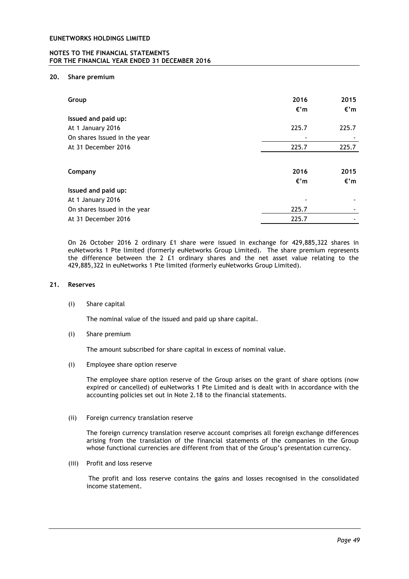#### **20. Share premium**

| Group                        | 2016<br>€'m | 2015<br>€'m |
|------------------------------|-------------|-------------|
| Issued and paid up:          |             |             |
| At 1 January 2016            | 225.7       | 225.7       |
| On shares Issued in the year |             |             |
| At 31 December 2016          | 225.7       | 225.7       |
| Company                      | 2016<br>€'m | 2015<br>€'m |
| Issued and paid up:          |             |             |
| At 1 January 2016            |             |             |
| On shares Issued in the year | 225.7       |             |
| At 31 December 2016          | 225.7       |             |

On 26 October 2016 2 ordinary £1 share were issued in exchange for 429,885,322 shares in euNetworks 1 Pte limited (formerly euNetworks Group Limited). The share premium represents the difference between the 2 £1 ordinary shares and the net asset value relating to the 429,885,322 in euNetworks 1 Pte limited (formerly euNetworks Group Limited).

# **21. Reserves**

(i) Share capital

The nominal value of the issued and paid up share capital.

(i) Share premium

The amount subscribed for share capital in excess of nominal value.

(i) Employee share option reserve

The employee share option reserve of the Group arises on the grant of share options (now expired or cancelled) of euNetworks 1 Pte Limited and is dealt with in accordance with the accounting policies set out in Note 2.18 to the financial statements.

(ii) Foreign currency translation reserve

The foreign currency translation reserve account comprises all foreign exchange differences arising from the translation of the financial statements of the companies in the Group whose functional currencies are different from that of the Group's presentation currency.

(iii) Profit and loss reserve

The profit and loss reserve contains the gains and losses recognised in the consolidated income statement.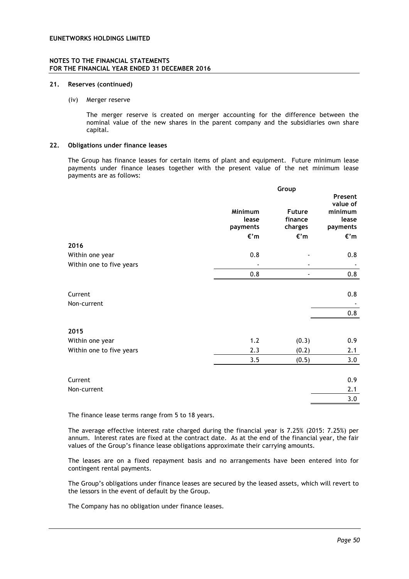#### **21. Reserves (continued)**

(iv) Merger reserve

The merger reserve is created on merger accounting for the difference between the nominal value of the new shares in the parent company and the subsidiaries own share capital.

#### **22. Obligations under finance leases**

The Group has finance leases for certain items of plant and equipment. Future minimum lease payments under finance leases together with the present value of the net minimum lease payments are as follows:

|                          | Group                               |                                            |                                                                         |  |
|--------------------------|-------------------------------------|--------------------------------------------|-------------------------------------------------------------------------|--|
|                          | Minimum<br>lease<br>payments<br>€'m | <b>Future</b><br>finance<br>charges<br>€'m | Present<br>value of<br>minimum<br>lease<br>payments<br>$\varepsilon$ 'm |  |
| 2016                     |                                     |                                            |                                                                         |  |
| Within one year          | 0.8                                 |                                            | 0.8                                                                     |  |
| Within one to five years |                                     |                                            |                                                                         |  |
|                          | 0.8                                 |                                            | 0.8                                                                     |  |
| Current                  |                                     |                                            | 0.8                                                                     |  |
| Non-current              |                                     |                                            | 0.8                                                                     |  |
| 2015                     |                                     |                                            |                                                                         |  |
| Within one year          | $1.2$                               | (0.3)                                      | 0.9                                                                     |  |
| Within one to five years | 2.3                                 | (0.2)                                      | 2.1                                                                     |  |
|                          | 3.5                                 | (0.5)                                      | 3.0                                                                     |  |
| Current                  |                                     |                                            | 0.9                                                                     |  |
| Non-current              |                                     |                                            | 2.1                                                                     |  |
|                          |                                     |                                            | 3.0                                                                     |  |

The finance lease terms range from 5 to 18 years.

The average effective interest rate charged during the financial year is 7.25% (2015: 7.25%) per annum. Interest rates are fixed at the contract date. As at the end of the financial year, the fair values of the Group's finance lease obligations approximate their carrying amounts.

The leases are on a fixed repayment basis and no arrangements have been entered into for contingent rental payments.

The Group's obligations under finance leases are secured by the leased assets, which will revert to the lessors in the event of default by the Group.

The Company has no obligation under finance leases.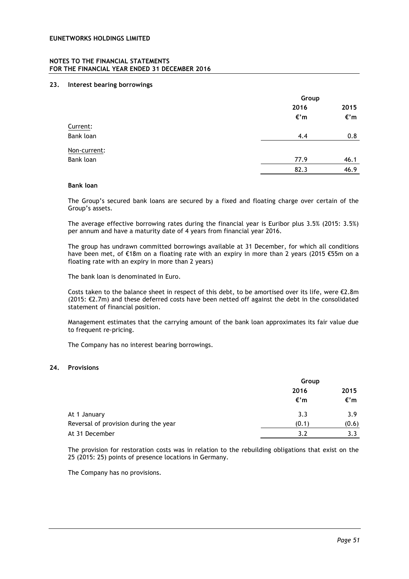### **23. Interest bearing borrowings**

|              | Group |      |
|--------------|-------|------|
|              | 2016  | 2015 |
|              | €'m   | €'m  |
| Current:     |       |      |
| Bank loan    | 4.4   | 0.8  |
| Non-current: |       |      |
| Bank loan    | 77.9  | 46.1 |
|              | 82.3  | 46.9 |

# **Bank loan**

The Group's secured bank loans are secured by a fixed and floating charge over certain of the Group's assets.

The average effective borrowing rates during the financial year is Euribor plus 3.5% (2015: 3.5%) per annum and have a maturity date of 4 years from financial year 2016.

The group has undrawn committed borrowings available at 31 December, for which all conditions have been met, of €18m on a floating rate with an expiry in more than 2 years (2015 €55m on a floating rate with an expiry in more than 2 years)

The bank loan is denominated in Euro.

Costs taken to the balance sheet in respect of this debt, to be amortised over its life, were €2.8m (2015: €2.7m) and these deferred costs have been netted off against the debt in the consolidated statement of financial position.

Management estimates that the carrying amount of the bank loan approximates its fair value due to frequent re-pricing.

The Company has no interest bearing borrowings.

# **24. Provisions**

|                                       | Group |             |  |
|---------------------------------------|-------|-------------|--|
|                                       | 2016  | 2015<br>€'m |  |
|                                       | €'m   |             |  |
| At 1 January                          | 3.3   | 3.9         |  |
| Reversal of provision during the year | (0.1) | (0.6)       |  |
| At 31 December                        | 3.2   | 3.3         |  |

The provision for restoration costs was in relation to the rebuilding obligations that exist on the 25 (2015: 25) points of presence locations in Germany.

The Company has no provisions.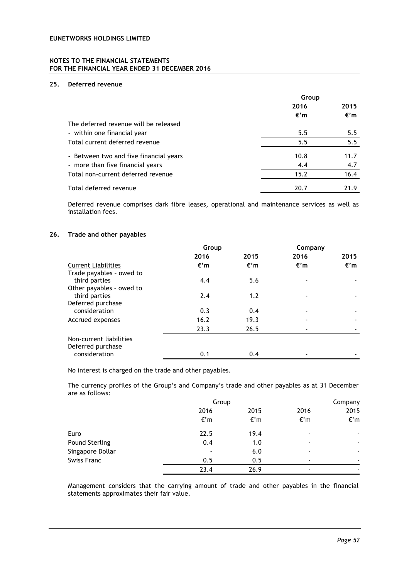# **25. Deferred revenue**

|                                        | Group |      |  |
|----------------------------------------|-------|------|--|
|                                        | 2016  | 2015 |  |
|                                        | €'m   | €'m  |  |
| The deferred revenue will be released  |       |      |  |
| - within one financial year            | 5.5   | 5.5  |  |
| Total current deferred revenue         | 5.5   | 5.5  |  |
| - Between two and five financial years | 10.8  | 11.7 |  |
| - more than five financial years       | 4.4   | 4.7  |  |
| Total non-current deferred revenue     | 15.2  | 16.4 |  |
| Total deferred revenue                 | 20.7  | 21.9 |  |

Deferred revenue comprises dark fibre leases, operational and maintenance services as well as installation fees.

# **26. Trade and other payables**

|                            | Group |      | Company |      |
|----------------------------|-------|------|---------|------|
|                            | 2016  | 2015 | 2016    | 2015 |
| <b>Current Liabilities</b> | €'m   | €'m  | €'m     | €'m  |
| Trade payables - owed to   |       |      |         |      |
| third parties              | 4.4   | 5.6  |         |      |
| Other payables - owed to   |       |      |         |      |
| third parties              | 2.4   | 1.2  |         |      |
| Deferred purchase          |       |      |         |      |
| consideration              | 0.3   | 0.4  |         |      |
| Accrued expenses           | 16.2  | 19.3 |         |      |
|                            | 23.3  | 26.5 |         |      |
| Non-current liabilities    |       |      |         |      |
| Deferred purchase          |       |      |         |      |
| consideration              | 0.1   | 0.4  |         |      |

No interest is charged on the trade and other payables.

The currency profiles of the Group's and Company's trade and other payables as at 31 December are as follows:

|                  | Group          |      |                | Company                  |
|------------------|----------------|------|----------------|--------------------------|
|                  | 2016           | 2015 | 2016           | 2015                     |
|                  | €'m            | €'m  | €'m            | €'m                      |
| Euro             | 22.5           | 19.4 | ٠              | ۰.                       |
| Pound Sterling   | 0.4            | 1.0  | ٠              | $\overline{\phantom{a}}$ |
| Singapore Dollar | $\blacksquare$ | 6.0  | ٠              | ۰.                       |
| Swiss Franc      | 0.5            | 0.5  | $\blacksquare$ | $\blacksquare$           |
|                  | 23.4           | 26.9 | ۰              |                          |

Management considers that the carrying amount of trade and other payables in the financial statements approximates their fair value.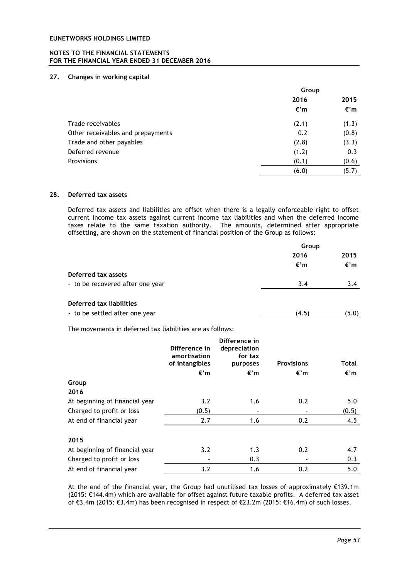# **27. Changes in working capital**

|                                   | Group |       |  |
|-----------------------------------|-------|-------|--|
|                                   | 2016  | 2015  |  |
|                                   | €'m   | €'m   |  |
| Trade receivables                 | (2.1) | (1.3) |  |
| Other receivables and prepayments | 0.2   | (0.8) |  |
| Trade and other payables          | (2.8) | (3.3) |  |
| Deferred revenue                  | (1.2) | 0.3   |  |
| Provisions                        | (0.1) | (0.6) |  |
|                                   | (6.0) | (5.7) |  |

### **28. Deferred tax assets**

Deferred tax assets and liabilities are offset when there is a legally enforceable right to offset current income tax assets against current income tax liabilities and when the deferred income taxes relate to the same taxation authority. The amounts, determined after appropriate offsetting, are shown on the statement of financial position of the Group as follows:

|                                                           |                                                 |                                                      | Group             |              |  |
|-----------------------------------------------------------|-------------------------------------------------|------------------------------------------------------|-------------------|--------------|--|
|                                                           |                                                 |                                                      | 2016              | 2015         |  |
|                                                           |                                                 |                                                      | €'m               | €'m          |  |
| Deferred tax assets                                       |                                                 |                                                      |                   |              |  |
| - to be recovered after one year                          |                                                 |                                                      | 3.4               | 3.4          |  |
| Deferred tax liabilities                                  |                                                 |                                                      |                   |              |  |
| - to be settled after one year                            |                                                 |                                                      | (4.5)             | (5.0)        |  |
| The movements in deferred tax liabilities are as follows: |                                                 |                                                      |                   |              |  |
|                                                           | Difference in<br>amortisation<br>of intangibles | Difference in<br>depreciation<br>for tax<br>purposes | <b>Provisions</b> | <b>Total</b> |  |
|                                                           | €'m                                             | €'m                                                  | €'m               | €'m          |  |
| Group<br>2016                                             |                                                 |                                                      |                   |              |  |
| At beginning of financial year                            | 3.2                                             | 1.6                                                  | 0.2               | 5.0          |  |
| Charged to profit or loss                                 | (0.5)                                           |                                                      |                   | (0.5)        |  |
| At end of financial year                                  | 2.7                                             | 1.6                                                  | 0.2               | 4.5          |  |
| 2015                                                      |                                                 |                                                      |                   |              |  |
| At beginning of financial year                            | 3.2                                             | 1.3                                                  | 0.2               | 4.7          |  |
| Charged to profit or loss                                 |                                                 | 0.3                                                  |                   | 0.3          |  |
| At end of financial year                                  | 3.2                                             | 1.6                                                  | 0.2               | 5.0          |  |

At the end of the financial year, the Group had unutilised tax losses of approximately €139.1m (2015: €144.4m) which are available for offset against future taxable profits. A deferred tax asset of €3.4m (2015: €3.4m) has been recognised in respect of €23.2m (2015: €16.4m) of such losses.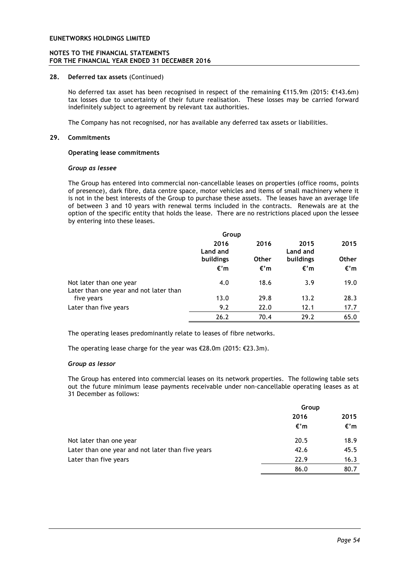# **NOTES TO THE FINANCIAL STATEMENTS FOR THE FINANCIAL YEAR ENDED 31 DECEMBER 2016**

# **28. Deferred tax assets** (Continued)

No deferred tax asset has been recognised in respect of the remaining €115.9m (2015: €143.6m) tax losses due to uncertainty of their future realisation. These losses may be carried forward indefinitely subject to agreement by relevant tax authorities.

The Company has not recognised, nor has available any deferred tax assets or liabilities.

#### **29. Commitments**

### **Operating lease commitments**

### *Group as lessee*

The Group has entered into commercial non-cancellable leases on properties (office rooms, points of presence), dark fibre, data centre space, motor vehicles and items of small machinery where it is not in the best interests of the Group to purchase these assets. The leases have an average life of between 3 and 10 years with renewal terms included in the contracts. Renewals are at the option of the specific entity that holds the lease. There are no restrictions placed upon the lessee by entering into these leases.

|                                                                   | Group            |              |                  |              |  |
|-------------------------------------------------------------------|------------------|--------------|------------------|--------------|--|
|                                                                   | 2016<br>Land and | 2016         | 2015<br>Land and | 2015         |  |
|                                                                   | buildings        | <b>Other</b> | buildings        | <b>Other</b> |  |
|                                                                   | €'m              | €'m          | €'m              | €'m          |  |
| Not later than one year<br>Later than one year and not later than | 4.0              | 18.6         | 3.9              | 19.0         |  |
| five years                                                        | 13.0             | 29.8         | 13.2             | 28.3         |  |
| Later than five years                                             | 9.2              | 22.0         | 12.1             | 17.7         |  |
|                                                                   | 26.2             | 70.4         | 29.2             | 65.0         |  |

The operating leases predominantly relate to leases of fibre networks.

The operating lease charge for the year was €28.0m (2015: €23.3m).

# *Group as lessor*

The Group has entered into commercial leases on its network properties. The following table sets out the future minimum lease payments receivable under non-cancellable operating leases as at 31 December as follows:

| 2016                                                      |      |
|-----------------------------------------------------------|------|
|                                                           | 2015 |
| €'m                                                       | €'m  |
| Not later than one year<br>20.5                           | 18.9 |
| Later than one year and not later than five years<br>42.6 | 45.5 |
| 22.9<br>Later than five years                             | 16.3 |
| 86.0                                                      | 80.7 |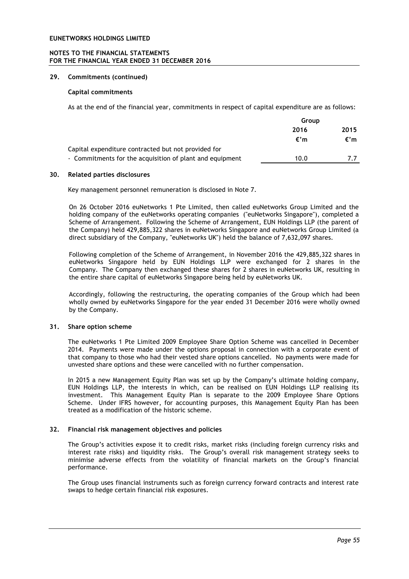# **NOTES TO THE FINANCIAL STATEMENTS FOR THE FINANCIAL YEAR ENDED 31 DECEMBER 2016**

# **29. Commitments (continued)**

### **Capital commitments**

As at the end of the financial year, commitments in respect of capital expenditure are as follows:

|                                                          | Group |      |  |
|----------------------------------------------------------|-------|------|--|
|                                                          | 2016  | 2015 |  |
|                                                          | €'m   | €'m  |  |
| Capital expenditure contracted but not provided for      |       |      |  |
| - Commitments for the acquisition of plant and equipment | 10.0  |      |  |
|                                                          |       |      |  |

### **30. Related parties disclosures**

Key management personnel remuneration is disclosed in Note 7.

On 26 October 2016 euNetworks 1 Pte Limited, then called euNetworks Group Limited and the holding company of the euNetworks operating companies ("euNetworks Singapore"), completed a Scheme of Arrangement. Following the Scheme of Arrangement, EUN Holdings LLP (the parent of the Company) held 429,885,322 shares in euNetworks Singapore and euNetworks Group Limited (a direct subsidiary of the Company, "euNetworks UK") held the balance of 7,632,097 shares.

Following completion of the Scheme of Arrangement, in November 2016 the 429,885,322 shares in euNetworks Singapore held by EUN Holdings LLP were exchanged for 2 shares in the Company. The Company then exchanged these shares for 2 shares in euNetworks UK, resulting in the entire share capital of euNetworks Singapore being held by euNetworks UK.

Accordingly, following the restructuring, the operating companies of the Group which had been wholly owned by euNetworks Singapore for the year ended 31 December 2016 were wholly owned by the Company.

#### **31. Share option scheme**

The euNetworks 1 Pte Limited 2009 Employee Share Option Scheme was cancelled in December 2014. Payments were made under the options proposal in connection with a corporate event of that company to those who had their vested share options cancelled. No payments were made for unvested share options and these were cancelled with no further compensation.

In 2015 a new Management Equity Plan was set up by the Company's ultimate holding company, EUN Holdings LLP, the interests in which, can be realised on EUN Holdings LLP realising its investment. This Management Equity Plan is separate to the 2009 Employee Share Options Scheme. Under IFRS however, for accounting purposes, this Management Equity Plan has been treated as a modification of the historic scheme.

# **32. Financial risk management objectives and policies**

The Group's activities expose it to credit risks, market risks (including foreign currency risks and interest rate risks) and liquidity risks. The Group's overall risk management strategy seeks to minimise adverse effects from the volatility of financial markets on the Group's financial performance.

The Group uses financial instruments such as foreign currency forward contracts and interest rate swaps to hedge certain financial risk exposures.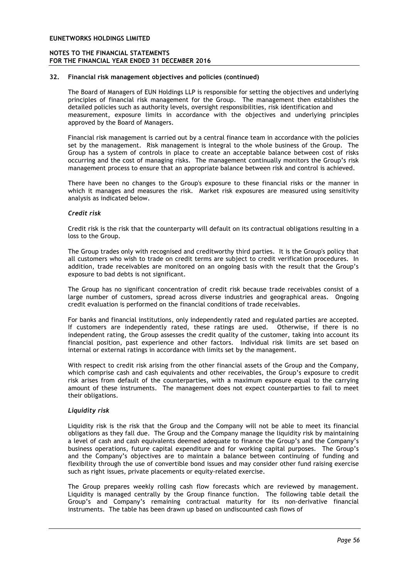#### **32. Financial risk management objectives and policies (continued)**

The Board of Managers of EUN Holdings LLP is responsible for setting the objectives and underlying principles of financial risk management for the Group. The management then establishes the detailed policies such as authority levels, oversight responsibilities, risk identification and measurement, exposure limits in accordance with the objectives and underlying principles approved by the Board of Managers.

Financial risk management is carried out by a central finance team in accordance with the policies set by the management. Risk management is integral to the whole business of the Group. The Group has a system of controls in place to create an acceptable balance between cost of risks occurring and the cost of managing risks. The management continually monitors the Group's risk management process to ensure that an appropriate balance between risk and control is achieved.

There have been no changes to the Group's exposure to these financial risks or the manner in which it manages and measures the risk. Market risk exposures are measured using sensitivity analysis as indicated below.

#### *Credit risk*

Credit risk is the risk that the counterparty will default on its contractual obligations resulting in a loss to the Group.

The Group trades only with recognised and creditworthy third parties. It is the Group's policy that all customers who wish to trade on credit terms are subject to credit verification procedures. In addition, trade receivables are monitored on an ongoing basis with the result that the Group's exposure to bad debts is not significant.

The Group has no significant concentration of credit risk because trade receivables consist of a large number of customers, spread across diverse industries and geographical areas. Ongoing credit evaluation is performed on the financial conditions of trade receivables.

For banks and financial institutions, only independently rated and regulated parties are accepted. If customers are independently rated, these ratings are used. Otherwise, if there is no independent rating, the Group assesses the credit quality of the customer, taking into account its financial position, past experience and other factors. Individual risk limits are set based on internal or external ratings in accordance with limits set by the management.

With respect to credit risk arising from the other financial assets of the Group and the Company, which comprise cash and cash equivalents and other receivables, the Group's exposure to credit risk arises from default of the counterparties, with a maximum exposure equal to the carrying amount of these instruments. The management does not expect counterparties to fail to meet their obligations.

# *Liquidity risk*

Liquidity risk is the risk that the Group and the Company will not be able to meet its financial obligations as they fall due. The Group and the Company manage the liquidity risk by maintaining a level of cash and cash equivalents deemed adequate to finance the Group's and the Company's business operations, future capital expenditure and for working capital purposes. The Group's and the Company's objectives are to maintain a balance between continuing of funding and flexibility through the use of convertible bond issues and may consider other fund raising exercise such as right issues, private placements or equity-related exercise.

The Group prepares weekly rolling cash flow forecasts which are reviewed by management. Liquidity is managed centrally by the Group finance function. The following table detail the Group's and Company's remaining contractual maturity for its non-derivative financial instruments. The table has been drawn up based on undiscounted cash flows of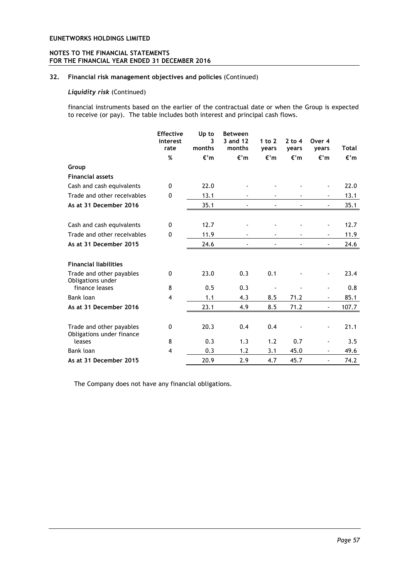# **NOTES TO THE FINANCIAL STATEMENTS FOR THE FINANCIAL YEAR ENDED 31 DECEMBER 2016**

# **32. Financial risk management objectives and policies** (Continued)

# *Liquidity risk* (Continued)

financial instruments based on the earlier of the contractual date or when the Group is expected to receive (or pay). The table includes both interest and principal cash flows.

|                                                       | <b>Effective</b><br>interest<br>rate | Up to<br>3<br>months | <b>Between</b><br>3 and 12<br>months | 1 to $2$<br>years | $2$ to $4$<br>years | Over <sub>4</sub><br>years   | Total |
|-------------------------------------------------------|--------------------------------------|----------------------|--------------------------------------|-------------------|---------------------|------------------------------|-------|
|                                                       | %                                    | €'m                  | €'m                                  | €'m               | €'m                 | €'m                          | €'m   |
| Group                                                 |                                      |                      |                                      |                   |                     |                              |       |
| <b>Financial assets</b>                               |                                      |                      |                                      |                   |                     |                              |       |
| Cash and cash equivalents                             | 0                                    | 22.0                 |                                      |                   |                     |                              | 22.0  |
| Trade and other receivables                           | $\mathbf{0}$                         | 13.1                 |                                      |                   |                     | $\blacksquare$               | 13.1  |
| As at 31 December 2016                                |                                      | 35.1                 |                                      |                   |                     |                              | 35.1  |
|                                                       |                                      |                      |                                      |                   |                     |                              |       |
| Cash and cash equivalents                             | 0                                    | 12.7                 |                                      |                   |                     |                              | 12.7  |
| Trade and other receivables                           | $\mathbf 0$                          | 11.9                 |                                      |                   |                     | -                            | 11.9  |
| As at 31 December 2015                                |                                      | 24.6                 |                                      |                   |                     | $\overline{\phantom{a}}$     | 24.6  |
|                                                       |                                      |                      |                                      |                   |                     |                              |       |
| <b>Financial liabilities</b>                          |                                      |                      |                                      |                   |                     |                              |       |
| Trade and other payables<br>Obligations under         | 0                                    | 23.0                 | 0.3                                  | 0.1               |                     |                              | 23.4  |
| finance leases                                        | 8                                    | 0.5                  | 0.3                                  |                   |                     |                              | 0.8   |
| Bank loan                                             | 4                                    | 1.1                  | 4.3                                  | 8.5               | 71.2                | $\overline{\phantom{a}}$     | 85.1  |
| As at 31 December 2016                                |                                      | 23.1                 | 4.9                                  | 8.5               | 71.2                | $\qquad \qquad \blacksquare$ | 107.7 |
|                                                       |                                      |                      |                                      |                   |                     |                              |       |
| Trade and other payables<br>Obligations under finance | $\mathbf{0}$                         | 20.3                 | 0.4                                  | 0.4               |                     |                              | 21.1  |
| leases                                                | 8                                    | 0.3                  | 1.3                                  | 1.2               | 0.7                 |                              | 3.5   |
| Bank loan                                             | 4                                    | 0.3                  | 1.2                                  | 3.1               | 45.0                | $\overline{\phantom{a}}$     | 49.6  |
| As at 31 December 2015                                |                                      | 20.9                 | 2.9                                  | 4.7               | 45.7                | L,                           | 74.2  |

The Company does not have any financial obligations.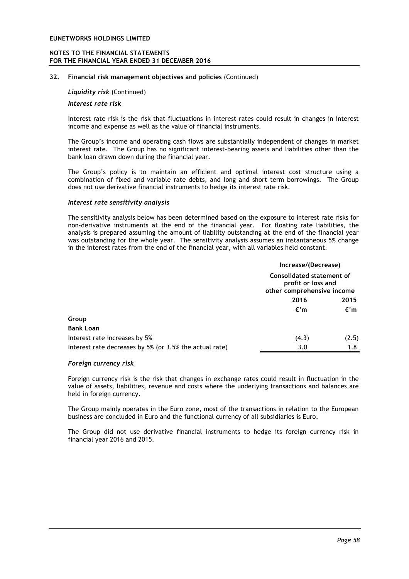#### **32. Financial risk management objectives and policies** (Continued)

#### *Liquidity risk* (Continued)

#### *Interest rate risk*

Interest rate risk is the risk that fluctuations in interest rates could result in changes in interest income and expense as well as the value of financial instruments.

The Group's income and operating cash flows are substantially independent of changes in market interest rate. The Group has no significant interest-bearing assets and liabilities other than the bank loan drawn down during the financial year.

The Group's policy is to maintain an efficient and optimal interest cost structure using a combination of fixed and variable rate debts, and long and short term borrowings. The Group does not use derivative financial instruments to hedge its interest rate risk.

#### *Interest rate sensitivity analysis*

The sensitivity analysis below has been determined based on the exposure to interest rate risks for non-derivative instruments at the end of the financial year. For floating rate liabilities, the analysis is prepared assuming the amount of liability outstanding at the end of the financial year was outstanding for the whole year. The sensitivity analysis assumes an instantaneous 5% change in the interest rates from the end of the financial year, with all variables held constant.

|                                                         |                                                                                      | Increase/(Decrease) |  |  |
|---------------------------------------------------------|--------------------------------------------------------------------------------------|---------------------|--|--|
|                                                         | <b>Consolidated statement of</b><br>profit or loss and<br>other comprehensive income |                     |  |  |
|                                                         | 2016                                                                                 | 2015                |  |  |
|                                                         | €'m                                                                                  | €'m                 |  |  |
| Group                                                   |                                                                                      |                     |  |  |
| <b>Bank Loan</b>                                        |                                                                                      |                     |  |  |
| Interest rate increases by 5%                           | (4.3)                                                                                | (2.5)               |  |  |
| Interest rate decreases by 5% (or 3.5% the actual rate) | 3.0                                                                                  | 1.8                 |  |  |

#### *Foreign currency risk*

Foreign currency risk is the risk that changes in exchange rates could result in fluctuation in the value of assets, liabilities, revenue and costs where the underlying transactions and balances are held in foreign currency.

The Group mainly operates in the Euro zone, most of the transactions in relation to the European business are concluded in Euro and the functional currency of all subsidiaries is Euro.

The Group did not use derivative financial instruments to hedge its foreign currency risk in financial year 2016 and 2015.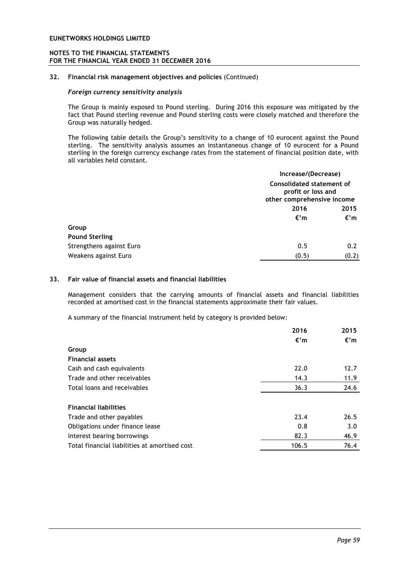#### **32. Financial risk management objectives and policies** (Continued)

#### *Foreign currency sensitivity analysis*

The Group is mainly exposed to Pound sterling. During 2016 this exposure was mitigated by the fact that Pound sterling revenue and Pound sterling costs were closely matched and therefore the Group was naturally hedged.

The following table details the Group's sensitivity to a change of 10 eurocent against the Pound sterling. The sensitivity analysis assumes an instantaneous change of 10 eurocent for a Pound sterling in the foreign currency exchange rates from the statement of financial position date, with all variables held constant.

|                          |       | Increase/(Decrease)                                                                  |  |  |
|--------------------------|-------|--------------------------------------------------------------------------------------|--|--|
|                          |       | <b>Consolidated statement of</b><br>profit or loss and<br>other comprehensive income |  |  |
|                          | 2016  | 2015                                                                                 |  |  |
|                          | €'m   | €'m                                                                                  |  |  |
| Group                    |       |                                                                                      |  |  |
| <b>Pound Sterling</b>    |       |                                                                                      |  |  |
| Strengthens against Euro | 0.5   | 0.2                                                                                  |  |  |
| Weakens against Euro     | (0.5) | (0.2)                                                                                |  |  |

### **33. Fair value of financial assets and financial liabilities**

Management considers that the carrying amounts of financial assets and financial liabilities recorded at amortised cost in the financial statements approximate their fair values.

A summary of the financial instrument held by category is provided below:

|                                               | 2016  | 2015 |
|-----------------------------------------------|-------|------|
|                                               | €'m   | €'m  |
| Group                                         |       |      |
| <b>Financial assets</b>                       |       |      |
| Cash and cash equivalents                     | 22.0  | 12.7 |
| Trade and other receivables                   | 14.3  | 11.9 |
| Total loans and receivables                   | 36.3  | 24.6 |
| <b>Financial liabilities</b>                  |       |      |
| Trade and other payables                      | 23.4  | 26.5 |
| Obligations under finance lease               | 0.8   | 3.0  |
| Interest bearing borrowings                   | 82.3  | 46.9 |
| Total financial liabilities at amortised cost | 106.5 | 76.4 |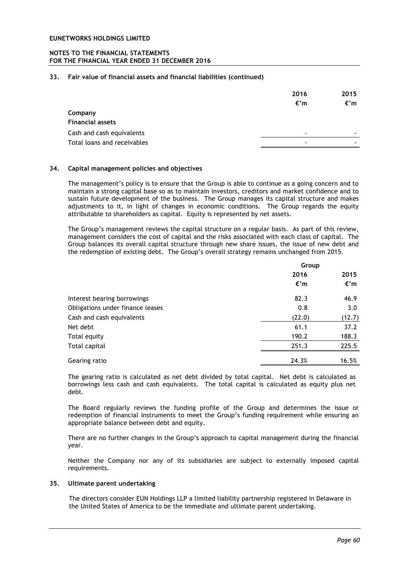#### **33. Fair value of financial assets and financial liabilities (continued)**

|                             | 2016                     | 2015                     |
|-----------------------------|--------------------------|--------------------------|
|                             | €'m                      | €'m                      |
| Company                     |                          |                          |
| <b>Financial assets</b>     |                          |                          |
| Cash and cash equivalents   | $\overline{\phantom{0}}$ | $\overline{\phantom{0}}$ |
| Total loans and receivables | -                        | $\overline{\phantom{0}}$ |
|                             |                          |                          |

# **34. Capital management policies and objectives**

The management's policy is to ensure that the Group is able to continue as a going concern and to maintain a strong capital base so as to maintain investors, creditors and market confidence and to sustain future development of the business. The Group manages its capital structure and makes adjustments to it, in light of changes in economic conditions. The Group regards the equity attributable to shareholders as capital. Equity is represented by net assets.

The Group's management reviews the capital structure on a regular basis. As part of this review, management considers the cost of capital and the risks associated with each class of capital. The Group balances its overall capital structure through new share issues, the issue of new debt and the redemption of existing debt. The Group's overall strategy remains unchanged from 2015.

|                                  | Group       |             |  |
|----------------------------------|-------------|-------------|--|
|                                  | 2016<br>€'m | 2015<br>€'m |  |
|                                  |             |             |  |
| Interest bearing borrowings      | 82.3        | 46.9        |  |
| Obligations under finance leases | 0.8         | 3.0         |  |
| Cash and cash equivalents        | (22.0)      | (12.7)      |  |
| Net debt                         | 61.1        | 37.2        |  |
| Total equity                     | 190.2       | 188.3       |  |
| Total capital                    | 251.3       | 225.5       |  |
| Gearing ratio                    | 24.3%       | 16.5%       |  |

The gearing ratio is calculated as net debt divided by total capital. Net debt is calculated as borrowings less cash and cash equivalents. The total capital is calculated as equity plus net debt.

The Board regularly reviews the funding profile of the Group and determines the issue or redemption of financial instruments to meet the Group's funding requirement while ensuring an appropriate balance between debt and equity.

There are no further changes in the Group's approach to capital management during the financial year.

Neither the Company nor any of its subsidiaries are subject to externally imposed capital requirements.

### **35. Ultimate parent undertaking**

The directors consider EUN Holdings LLP a limited liability partnership registered in Delaware in the United States of America to be the immediate and ultimate parent undertaking.